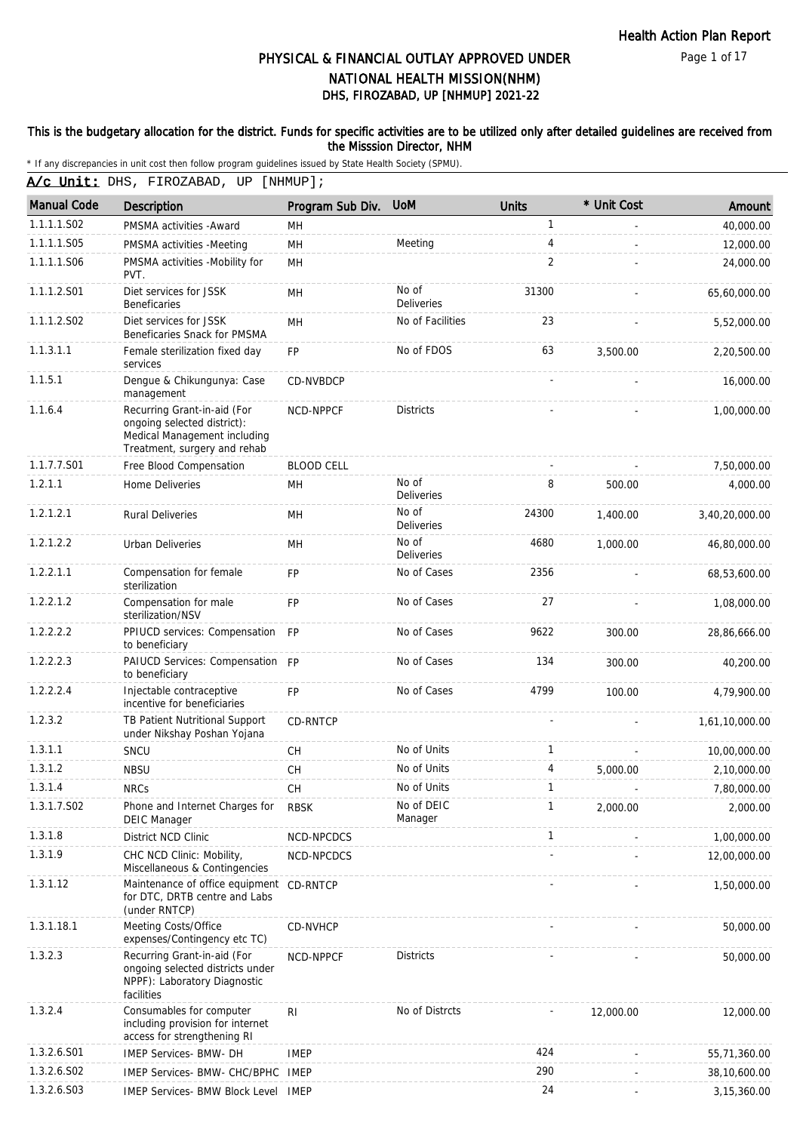Page 1 of 17

# DHS, FIROZABAD, UP [NHMUP] 2021-22 PHYSICAL & FINANCIAL OUTLAY APPROVED UNDER NATIONAL HEALTH MISSION(NHM)

#### This is the budgetary allocation for the district. Funds for specific activities are to be utilized only after detailed guidelines are received from the Misssion Director, NHM

|                    | A/c Unit: DHS, FIROZABAD, UP                                                                                               | $[$ NHMUP $]$ ;   |                            |                |             |                |
|--------------------|----------------------------------------------------------------------------------------------------------------------------|-------------------|----------------------------|----------------|-------------|----------------|
| <b>Manual Code</b> | Description                                                                                                                | Program Sub Div.  | <b>UoM</b>                 | <b>Units</b>   | * Unit Cost | Amount         |
| 1.1.1.1.S02        | PMSMA activities - Award                                                                                                   | MH                |                            | $\mathbf{1}$   |             | 40,000.00      |
| 1.1.1.1.S05        | PMSMA activities -Meeting                                                                                                  | MН                | Meeting                    | $\overline{4}$ |             | 12,000.00      |
| 1.1.1.1.S06        | PMSMA activities -Mobility for<br>PVT.                                                                                     | <b>MH</b>         |                            | 2              |             | 24,000.00      |
| 1.1.1.2.S01        | Diet services for JSSK<br>Beneficaries                                                                                     | MН                | No of<br>Deliveries        | 31300          |             | 65,60,000.00   |
| 1.1.1.2.S02        | Diet services for JSSK<br>Beneficaries Snack for PMSMA                                                                     | MH                | No of Facilities           | 23             |             | 5,52,000.00    |
| 1.1.3.1.1          | Female sterilization fixed day<br>services                                                                                 | <b>FP</b>         | No of FDOS                 | 63             | 3,500.00    | 2,20,500.00    |
| 1.1.5.1            | Dengue & Chikungunya: Case<br>management                                                                                   | <b>CD-NVBDCP</b>  |                            |                |             | 16,000.00      |
| 1.1.6.4            | Recurring Grant-in-aid (For<br>ongoing selected district):<br>Medical Management including<br>Treatment, surgery and rehab | NCD-NPPCF         | <b>Districts</b>           |                |             | 1,00,000.00    |
| 1.1.7.7.S01        | Free Blood Compensation                                                                                                    | <b>BLOOD CELL</b> |                            |                |             | 7,50,000.00    |
| 1.2.1.1            | Home Deliveries                                                                                                            | MН                | No of<br><b>Deliveries</b> | 8              | 500.00      | 4,000.00       |
| 1.2.1.2.1          | <b>Rural Deliveries</b>                                                                                                    | MН                | No of<br><b>Deliveries</b> | 24300          | 1,400.00    | 3,40,20,000.00 |
| 1.2.1.2.2          | Urban Deliveries                                                                                                           | MН                | No of<br><b>Deliveries</b> | 4680           | 1,000.00    | 46,80,000.00   |
| 1.2.2.1.1          | Compensation for female<br>sterilization                                                                                   | <b>FP</b>         | No of Cases                | 2356           |             | 68,53,600.00   |
| 1.2.2.1.2          | Compensation for male<br>sterilization/NSV                                                                                 | <b>FP</b>         | No of Cases                | 27             |             | 1,08,000.00    |
| 1.2.2.2.2          | PPIUCD services: Compensation FP<br>to beneficiary                                                                         |                   | No of Cases                | 9622           | 300.00      | 28,86,666.00   |
| 1.2.2.2.3          | PAIUCD Services: Compensation FP<br>to beneficiary                                                                         |                   | No of Cases                | 134            | 300.00      | 40,200.00      |
| 1.2.2.2.4          | Injectable contraceptive<br>incentive for beneficiaries                                                                    | <b>FP</b>         | No of Cases                | 4799           | 100.00      | 4.79.900.00    |
| 1.2.3.2            | TB Patient Nutritional Support<br>under Nikshay Poshan Yojana                                                              | <b>CD-RNTCP</b>   |                            |                |             | 1,61,10,000.00 |
| 1.3.1.1            | SNCU                                                                                                                       | <b>CH</b>         | No of Units                | $\mathbf{1}$   |             | 10,00,000.00   |
| 1.3.1.2            | <b>NBSU</b>                                                                                                                | СH                | No of Units                | 4              | 5,000.00    | 2,10,000.00    |
| 1.3.1.4            | <b>NRCs</b>                                                                                                                | CH                | No of Units                | 1              |             | 7,80,000.00    |
| 1.3.1.7.S02        | Phone and Internet Charges for<br><b>DEIC Manager</b>                                                                      | <b>RBSK</b>       | No of DEIC<br>Manager      | $\mathbf{1}$   | 2,000.00    | 2,000.00       |
| 1.3.1.8            | District NCD Clinic                                                                                                        | NCD-NPCDCS        |                            | 1              |             | 1,00,000.00    |
| 1.3.1.9            | CHC NCD Clinic: Mobility,<br>Miscellaneous & Contingencies                                                                 | NCD-NPCDCS        |                            |                |             | 12,00,000.00   |
| 1.3.1.12           | Maintenance of office equipment CD-RNTCP<br>for DTC, DRTB centre and Labs<br>(under RNTCP)                                 |                   |                            |                |             | 1,50,000.00    |
| 1.3.1.18.1         | Meeting Costs/Office<br>expenses/Contingency etc TC)                                                                       | CD-NVHCP          |                            |                |             | 50,000.00      |
| 1.3.2.3            | Recurring Grant-in-aid (For<br>ongoing selected districts under<br>NPPF): Laboratory Diagnostic<br>facilities              | NCD-NPPCF         | <b>Districts</b>           |                |             | 50,000.00      |
| 1.3.2.4            | Consumables for computer<br>including provision for internet<br>access for strengthening RI                                | RI.               | No of Distrcts             |                | 12,000.00   | 12,000.00      |
| 1.3.2.6.S01        | IMEP Services- BMW- DH                                                                                                     | <b>IMEP</b>       |                            | 424            |             | 55,71,360.00   |
| 1.3.2.6.S02        | IMEP Services- BMW- CHC/BPHC                                                                                               | IMEP              |                            | 290            |             | 38,10,600.00   |
| 1.3.2.6.S03        | <b>IMEP Services- BMW Block Level</b>                                                                                      | IMEP              |                            | 24             |             | 3, 15, 360.00  |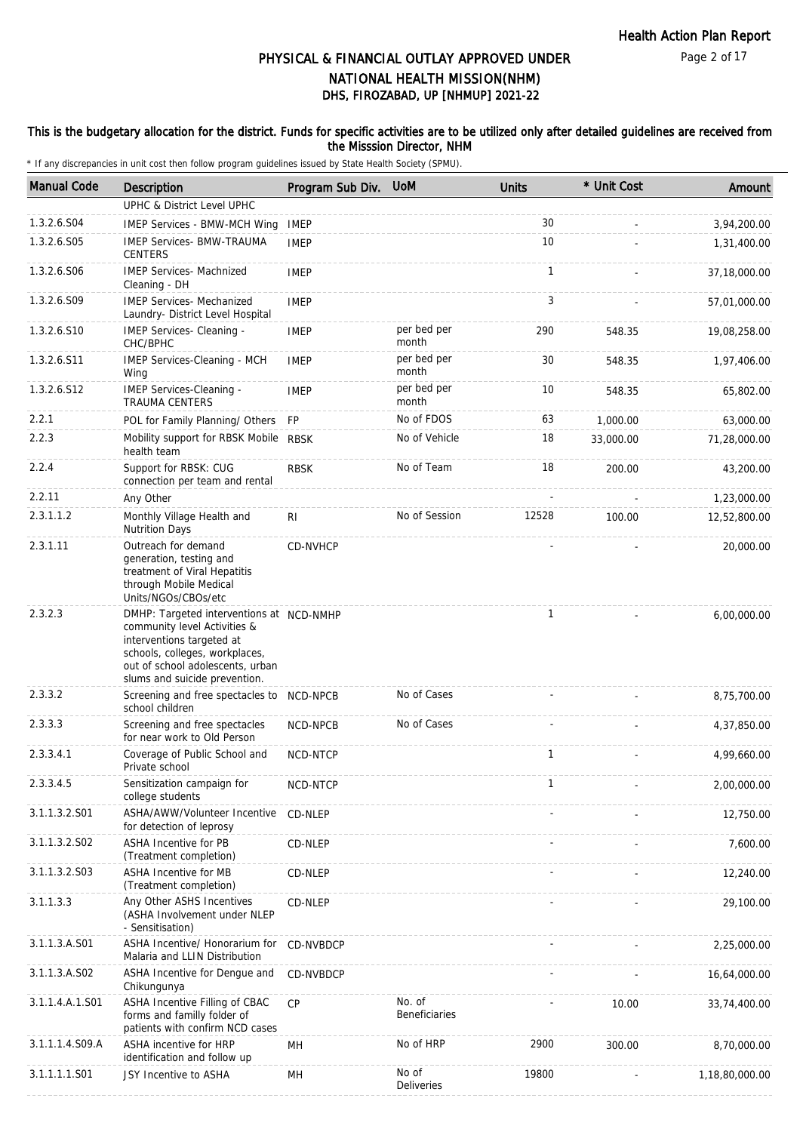Page 2 of 17

# DHS, FIROZABAD, UP [NHMUP] 2021-22 PHYSICAL & FINANCIAL OUTLAY APPROVED UNDER NATIONAL HEALTH MISSION(NHM)

#### This is the budgetary allocation for the district. Funds for specific activities are to be utilized only after detailed guidelines are received from the Misssion Director, NHM

| <b>Manual Code</b> | Description                                                                                                                                                                                                  | Program Sub Div. UoM |                                | <b>Units</b> | * Unit Cost | Amount         |
|--------------------|--------------------------------------------------------------------------------------------------------------------------------------------------------------------------------------------------------------|----------------------|--------------------------------|--------------|-------------|----------------|
|                    | <b>UPHC &amp; District Level UPHC</b>                                                                                                                                                                        |                      |                                |              |             |                |
| 1.3.2.6.S04        | <b>IMEP Services - BMW-MCH Wing</b>                                                                                                                                                                          | <b>IMEP</b>          |                                | 30           |             | 3,94,200.00    |
| 1.3.2.6.S05        | <b>IMEP Services- BMW-TRAUMA</b><br><b>CENTERS</b>                                                                                                                                                           | <b>IMEP</b>          |                                | 10           |             | 1,31,400.00    |
| 1.3.2.6.S06        | <b>IMEP Services- Machnized</b><br>Cleaning - DH                                                                                                                                                             | <b>IMEP</b>          |                                | 1            |             | 37,18,000.00   |
| 1.3.2.6.S09        | <b>IMEP Services- Mechanized</b><br>Laundry- District Level Hospital                                                                                                                                         | <b>IMEP</b>          |                                | 3            |             | 57,01,000.00   |
| 1.3.2.6.S10        | IMEP Services- Cleaning -<br>CHC/BPHC                                                                                                                                                                        | <b>IMEP</b>          | per bed per<br>month           | 290          | 548.35      | 19,08,258.00   |
| 1.3.2.6.S11        | IMEP Services-Cleaning - MCH<br>Wing                                                                                                                                                                         | <b>IMEP</b>          | per bed per<br>month           | 30           | 548.35      | 1,97,406.00    |
| 1.3.2.6.S12        | IMEP Services-Cleaning -<br><b>TRAUMA CENTERS</b>                                                                                                                                                            | <b>IMEP</b>          | per bed per<br>month           | 10           | 548.35      | 65,802.00      |
| 2.2.1              | POL for Family Planning/ Others                                                                                                                                                                              | <b>FP</b>            | No of FDOS                     | 63           | 1,000.00    | 63,000.00      |
| 2.2.3              | Mobility support for RBSK Mobile<br>health team                                                                                                                                                              | <b>RBSK</b>          | No of Vehicle                  | 18           | 33,000.00   | 71,28,000.00   |
| 2.2.4              | Support for RBSK: CUG<br>connection per team and rental                                                                                                                                                      | <b>RBSK</b>          | No of Team                     | 18           | 200.00      | 43,200.00      |
| 2.2.11             | Any Other                                                                                                                                                                                                    |                      |                                |              |             | 1,23,000.00    |
| 2.3.1.1.2          | Monthly Village Health and<br><b>Nutrition Days</b>                                                                                                                                                          | RI                   | No of Session                  | 12528        | 100.00      | 12,52,800.00   |
| 2.3.1.11           | Outreach for demand<br>generation, testing and<br>treatment of Viral Hepatitis<br>through Mobile Medical<br>Units/NGOs/CBOs/etc                                                                              | CD-NVHCP             |                                |              |             | 20,000.00      |
| 2.3.2.3            | DMHP: Targeted interventions at NCD-NMHP<br>community level Activities &<br>interventions targeted at<br>schools, colleges, workplaces,<br>out of school adolescents, urban<br>slums and suicide prevention. |                      |                                | $\mathbf{1}$ |             | 6,00,000.00    |
| 2.3.3.2            | Screening and free spectacles to NCD-NPCB<br>school children                                                                                                                                                 |                      | No of Cases                    |              |             | 8,75,700.00    |
| 2.3.3.3            | Screening and free spectacles<br>for near work to Old Person                                                                                                                                                 | NCD-NPCB             | No of Cases                    |              |             | 4,37,850.00    |
| 2.3.3.4.1          | Coverage of Public School and<br>Private school                                                                                                                                                              | NCD-NTCP             |                                | $\mathbf{1}$ |             | 4,99,660.00    |
| 2.3.3.4.5          | Sensitization campaign for<br>college students                                                                                                                                                               | NCD-NTCP             |                                | 1            |             | 2,00,000.00    |
| 3.1.1.3.2.S01      | ASHA/AWW/Volunteer Incentive<br>for detection of leprosy                                                                                                                                                     | CD-NLEP              |                                |              |             | 12,750.00      |
| 3.1.1.3.2.S02      | <b>ASHA Incentive for PB</b><br>(Treatment completion)                                                                                                                                                       | CD-NLEP              |                                |              |             | 7,600.00       |
| 3.1.1.3.2.S03      | ASHA Incentive for MB<br>(Treatment completion)                                                                                                                                                              | CD-NLEP              |                                |              |             | 12,240.00      |
| 3.1.1.3.3          | Any Other ASHS Incentives<br>(ASHA Involvement under NLEP<br>- Sensitisation)                                                                                                                                | CD-NLEP              |                                |              |             | 29,100.00      |
| 3.1.1.3.A.S01      | ASHA Incentive/ Honorarium for<br>Malaria and LLIN Distribution                                                                                                                                              | CD-NVBDCP            |                                |              |             | 2,25,000.00    |
| 3.1.1.3.A.S02      | ASHA Incentive for Dengue and<br>Chikungunya                                                                                                                                                                 | CD-NVBDCP            |                                |              |             | 16,64,000.00   |
| 3.1.1.4.A.1.S01    | ASHA Incentive Filling of CBAC<br>forms and familly folder of<br>patients with confirm NCD cases                                                                                                             | CP                   | No. of<br><b>Beneficiaries</b> |              | 10.00       | 33,74,400.00   |
| 3.1.1.1.4.S09.A    | ASHA incentive for HRP<br>identification and follow up                                                                                                                                                       | MH                   | No of HRP                      | 2900         | 300.00      | 8,70,000.00    |
| 3.1.1.1.1.S01      | JSY Incentive to ASHA                                                                                                                                                                                        | MH                   | No of<br>Deliveries            | 19800        |             | 1,18,80,000.00 |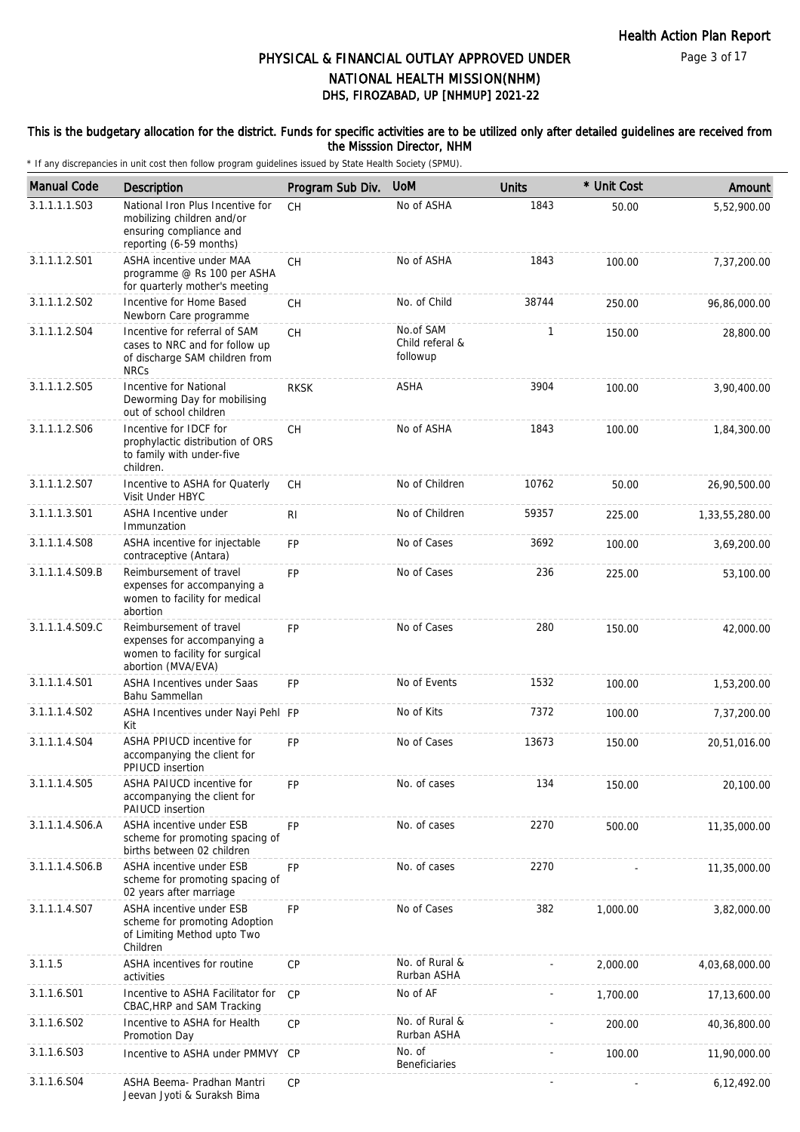#### This is the budgetary allocation for the district. Funds for specific activities are to be utilized only after detailed guidelines are received from the Misssion Director, NHM

| <b>Manual Code</b> | Description                                                                                                          | Program Sub Div. | <b>UoM</b>                               | <b>Units</b> | * Unit Cost | Amount         |
|--------------------|----------------------------------------------------------------------------------------------------------------------|------------------|------------------------------------------|--------------|-------------|----------------|
| 3.1.1.1.1.S03      | National Iron Plus Incentive for<br>mobilizing children and/or<br>ensuring compliance and<br>reporting (6-59 months) | <b>CH</b>        | No of ASHA                               | 1843         | 50.00       | 5,52,900.00    |
| 3.1.1.1.2.S01      | ASHA incentive under MAA<br>programme @ Rs 100 per ASHA<br>for quarterly mother's meeting                            | <b>CH</b>        | No of ASHA                               | 1843         | 100.00      | 7,37,200.00    |
| 3.1.1.1.2.S02      | Incentive for Home Based<br>Newborn Care programme                                                                   | CH               | No. of Child                             | 38744        | 250.00      | 96,86,000.00   |
| 3.1.1.1.2.S04      | Incentive for referral of SAM<br>cases to NRC and for follow up<br>of discharge SAM children from<br><b>NRCs</b>     | <b>CH</b>        | No.of SAM<br>Child referal &<br>followup | 1            | 150.00      | 28,800.00      |
| 3.1.1.1.2.S05      | Incentive for National<br>Deworming Day for mobilising<br>out of school children                                     | <b>RKSK</b>      | ASHA                                     | 3904         | 100.00      | 3,90,400.00    |
| 3.1.1.1.2.S06      | Incentive for IDCF for<br>prophylactic distribution of ORS<br>to family with under-five<br>children.                 | <b>CH</b>        | No of ASHA                               | 1843         | 100.00      | 1,84,300.00    |
| 3.1.1.1.2.S07      | Incentive to ASHA for Quaterly<br>Visit Under HBYC                                                                   | <b>CH</b>        | No of Children                           | 10762        | 50.00       | 26,90,500.00   |
| 3.1.1.1.3.S01      | ASHA Incentive under<br>Immunzation                                                                                  | R <sub>l</sub>   | No of Children                           | 59357        | 225.00      | 1,33,55,280.00 |
| 3.1.1.1.4.S08      | ASHA incentive for injectable<br>contraceptive (Antara)                                                              | FP               | No of Cases                              | 3692         | 100.00      | 3,69,200.00    |
| 3.1.1.1.4.S09.B    | Reimbursement of travel<br>expenses for accompanying a<br>women to facility for medical<br>abortion                  | FP               | No of Cases                              | 236          | 225.00      | 53,100.00      |
| 3.1.1.1.4.S09.C    | Reimbursement of travel<br>expenses for accompanying a<br>women to facility for surgical<br>abortion (MVA/EVA)       | FP               | No of Cases                              | 280          | 150.00      | 42,000.00      |
| 3.1.1.1.4.S01      | ASHA Incentives under Saas<br>Bahu Sammellan                                                                         | <b>FP</b>        | No of Events                             | 1532         | 100.00      | 1,53,200.00    |
| 3.1.1.1.4.S02      | ASHA Incentives under Nayi Pehl FP<br>Kit                                                                            |                  | No of Kits                               | 7372         | 100.00      | 7,37,200.00    |
| 3.1.1.1.4.S04      | ASHA PPIUCD incentive for<br>accompanying the client for<br>PPIUCD insertion                                         | FP               | No of Cases                              | 13673        | 150.00      | 20,51,016.00   |
| 3.1.1.1.4.S05      | ASHA PAIUCD incentive for<br>accompanying the client for<br>PAIUCD insertion                                         | <b>FP</b>        | No. of cases                             | 134          | 150.00      | 20,100.00      |
| 3.1.1.1.4.S06.A    | ASHA incentive under ESB<br>scheme for promoting spacing of<br>births between 02 children                            | FP               | No. of cases                             | 2270         | 500.00      | 11,35,000.00   |
| 3.1.1.1.4.S06.B    | ASHA incentive under ESB<br>scheme for promoting spacing of<br>02 years after marriage                               | FP               | No. of cases                             | 2270         |             | 11,35,000.00   |
| 3.1.1.1.4.S07      | <b>ASHA incentive under ESB</b><br>scheme for promoting Adoption<br>of Limiting Method upto Two<br>Children          | FP               | No of Cases                              | 382          | 1,000.00    | 3,82,000.00    |
| 3.1.1.5            | ASHA incentives for routine<br>activities                                                                            | CP               | No. of Rural &<br>Rurban ASHA            |              | 2,000.00    | 4,03,68,000.00 |
| 3.1.1.6.S01        | Incentive to ASHA Facilitator for<br>CBAC, HRP and SAM Tracking                                                      | CP               | No of AF                                 |              | 1,700.00    | 17,13,600.00   |
| 3.1.1.6.S02        | Incentive to ASHA for Health<br>Promotion Day                                                                        | СP               | No. of Rural &<br>Rurban ASHA            |              | 200.00      | 40,36,800.00   |
| 3.1.1.6.S03        | Incentive to ASHA under PMMVY                                                                                        | CP               | No. of<br><b>Beneficiaries</b>           |              | 100.00      | 11,90,000.00   |
| 3.1.1.6.S04        | ASHA Beema- Pradhan Mantri<br>Jeevan Jyoti & Suraksh Bima                                                            | <b>CP</b>        |                                          |              |             | 6,12,492.00    |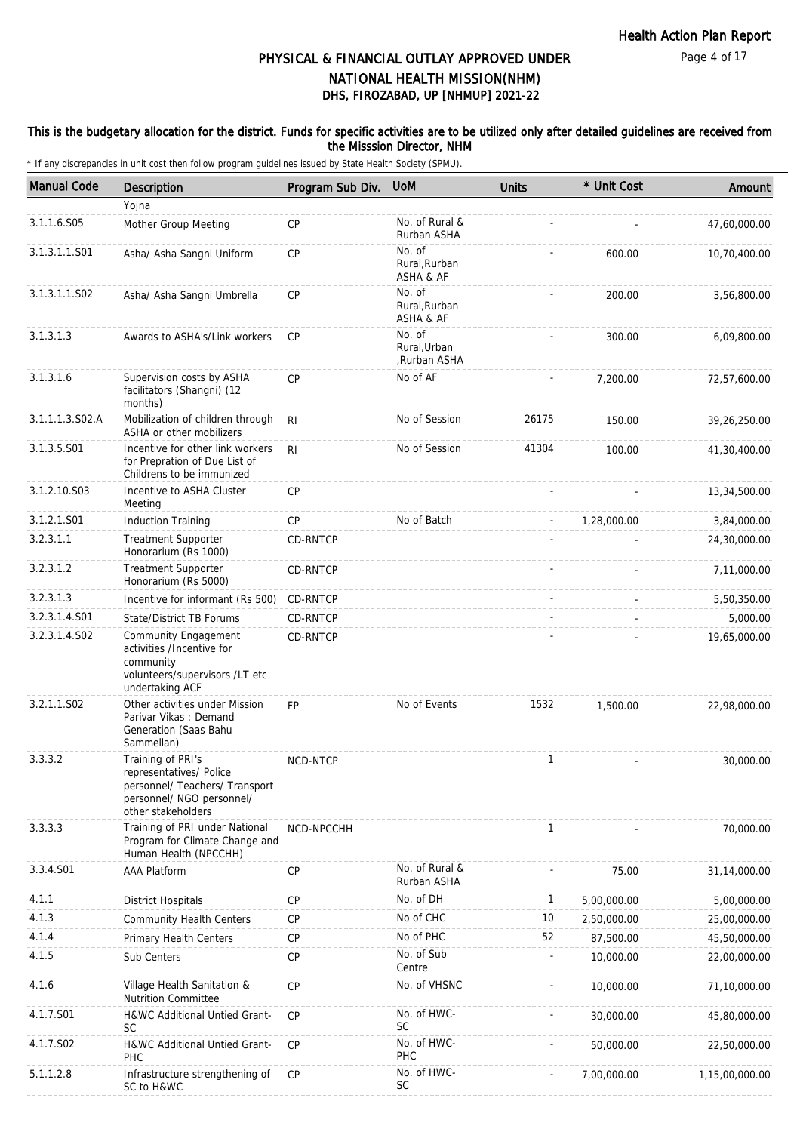#### This is the budgetary allocation for the district. Funds for specific activities are to be utilized only after detailed guidelines are received from the Misssion Director, NHM

| <b>Manual Code</b> | Description                                                                                                                       | Program Sub Div. | <b>UoM</b>                             | <b>Units</b> | * Unit Cost | Amount         |
|--------------------|-----------------------------------------------------------------------------------------------------------------------------------|------------------|----------------------------------------|--------------|-------------|----------------|
|                    | Yojna                                                                                                                             |                  |                                        |              |             |                |
| 3.1.1.6.S05        | Mother Group Meeting                                                                                                              | CP               | No. of Rural &<br>Rurban ASHA          |              |             | 47,60,000.00   |
| 3.1.3.1.1.S01      | Asha/ Asha Sangni Uniform                                                                                                         | CP               | No. of<br>Rural, Rurban<br>ASHA & AF   |              | 600.00      | 10,70,400.00   |
| 3.1.3.1.1.S02      | Asha/ Asha Sangni Umbrella                                                                                                        | CP               | No. of<br>Rural, Rurban<br>ASHA & AF   |              | 200.00      | 3,56,800.00    |
| 3.1.3.1.3          | Awards to ASHA's/Link workers                                                                                                     | <b>CP</b>        | No. of<br>Rural, Urban<br>,Rurban ASHA |              | 300.00      | 6,09,800.00    |
| 3.1.3.1.6          | Supervision costs by ASHA<br>facilitators (Shangni) (12<br>months)                                                                | CP               | No of AF                               |              | 7,200.00    | 72,57,600.00   |
| 3.1.1.1.3.S02.A    | Mobilization of children through<br>ASHA or other mobilizers                                                                      | R <sub>l</sub>   | No of Session                          | 26175        | 150.00      | 39,26,250.00   |
| 3.1.3.5.S01        | Incentive for other link workers<br>for Prepration of Due List of<br>Childrens to be immunized                                    | RI.              | No of Session                          | 41304        | 100.00      | 41,30,400.00   |
| 3.1.2.10.S03       | Incentive to ASHA Cluster<br>Meeting                                                                                              | CP               |                                        |              |             | 13,34,500.00   |
| 3.1.2.1.S01        | <b>Induction Training</b>                                                                                                         | <b>CP</b>        | No of Batch                            |              | 1,28,000.00 | 3,84,000.00    |
| 3.2.3.1.1          | <b>Treatment Supporter</b><br>Honorarium (Rs 1000)                                                                                | CD-RNTCP         |                                        |              |             | 24,30,000.00   |
| 3.2.3.1.2          | <b>Treatment Supporter</b><br>Honorarium (Rs 5000)                                                                                | CD-RNTCP         |                                        |              |             | 7,11,000.00    |
| 3.2.3.1.3          | Incentive for informant (Rs 500)                                                                                                  | CD-RNTCP         |                                        |              |             | 5,50,350.00    |
| 3.2.3.1.4.S01      | <b>State/District TB Forums</b>                                                                                                   | CD-RNTCP         |                                        |              |             | 5,000.00       |
| 3.2.3.1.4.S02      | Community Engagement<br>activities /Incentive for<br>community<br>volunteers/supervisors /LT etc<br>undertaking ACF               | CD-RNTCP         |                                        |              |             | 19,65,000.00   |
| 3.2.1.1.S02        | Other activities under Mission<br>Parivar Vikas: Demand<br>Generation (Saas Bahu<br>Sammellan)                                    | <b>FP</b>        | No of Events                           | 1532         | 1,500.00    | 22,98,000.00   |
| 3.3.3.2            | Training of PRI's<br>representatives/ Police<br>personnel/ Teachers/ Transport<br>personnel/ NGO personnel/<br>other stakeholders | <b>NCD-NTCP</b>  |                                        | $\mathbf{1}$ |             | 30,000.00      |
| 3.3.3.3            | Training of PRI under National<br>Program for Climate Change and<br>Human Health (NPCCHH)                                         | NCD-NPCCHH       |                                        | $\mathbf{1}$ |             | 70,000.00      |
| 3.3.4.S01          | <b>AAA Platform</b>                                                                                                               | CP               | No. of Rural &<br>Rurban ASHA          |              | 75.00       | 31,14,000.00   |
| 4.1.1              | <b>District Hospitals</b>                                                                                                         | CP               | No. of DH                              | $\mathbf{1}$ | 5,00,000.00 | 5,00,000.00    |
| 4.1.3              | <b>Community Health Centers</b>                                                                                                   | <b>CP</b>        | No of CHC                              | 10           | 2,50,000.00 | 25,00,000.00   |
| 4.1.4              | Primary Health Centers                                                                                                            | CP               | No of PHC                              | 52           | 87,500.00   | 45,50,000.00   |
| 4.1.5              | Sub Centers                                                                                                                       | CP               | No. of Sub<br>Centre                   |              | 10,000.00   | 22,00,000.00   |
| 4.1.6              | Village Health Sanitation &<br><b>Nutrition Committee</b>                                                                         | CP               | No. of VHSNC                           |              | 10,000.00   | 71,10,000.00   |
| 4.1.7.S01          | H&WC Additional Untied Grant-<br>SC                                                                                               | CP               | No. of HWC-<br><b>SC</b>               |              | 30,000.00   | 45,80,000.00   |
| 4.1.7.S02          | H&WC Additional Untied Grant-<br><b>PHC</b>                                                                                       | <b>CP</b>        | No. of HWC-<br>PHC                     |              | 50,000.00   | 22,50,000.00   |
| 5.1.1.2.8          | Infrastructure strengthening of<br>SC to H&WC                                                                                     | CP               | No. of HWC-<br><b>SC</b>               |              | 7,00,000.00 | 1,15,00,000.00 |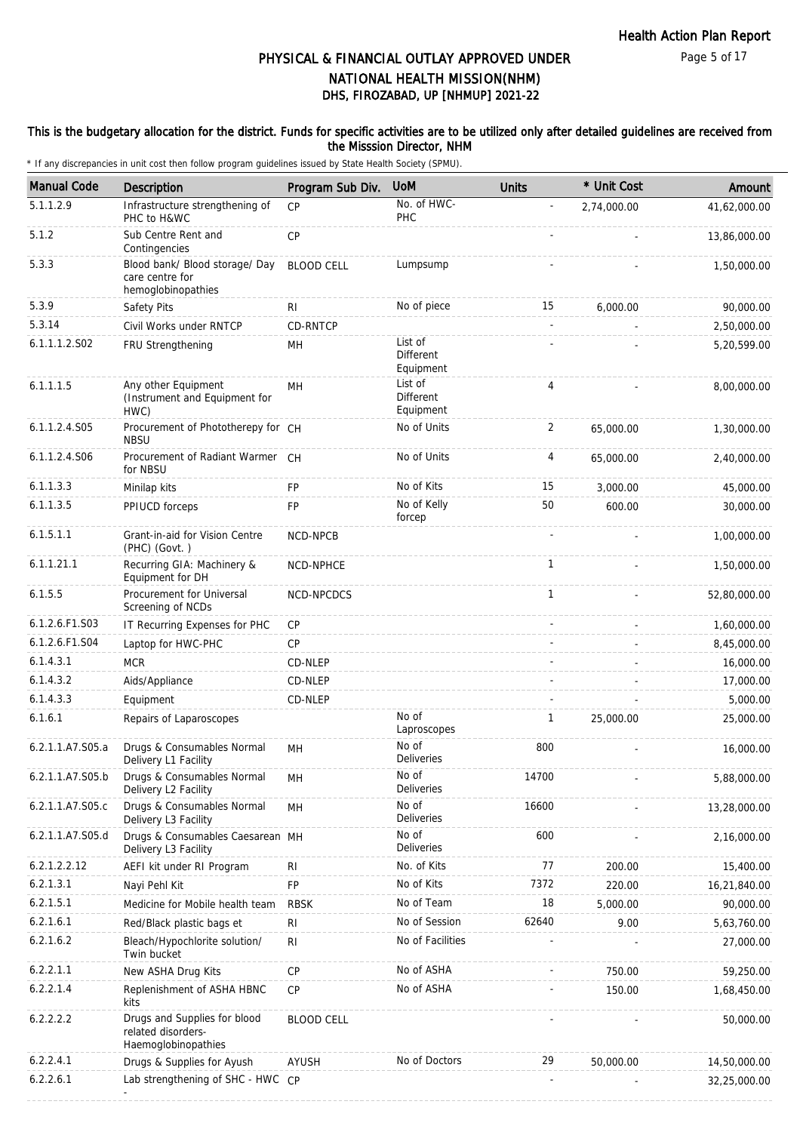Page 5 of 17

# DHS, FIROZABAD, UP [NHMUP] 2021-22 PHYSICAL & FINANCIAL OUTLAY APPROVED UNDER NATIONAL HEALTH MISSION(NHM)

#### This is the budgetary allocation for the district. Funds for specific activities are to be utilized only after detailed guidelines are received from the Misssion Director, NHM

| <b>Manual Code</b> | <b>Description</b>                                                        | Program Sub Div.  | <b>UoM</b>                        | <b>Units</b>   | * Unit Cost | Amount       |
|--------------------|---------------------------------------------------------------------------|-------------------|-----------------------------------|----------------|-------------|--------------|
| 5.1.1.2.9          | Infrastructure strengthening of<br>PHC to H&WC                            | CP                | No. of HWC-<br>PHC                |                | 2,74,000.00 | 41,62,000.00 |
| 5.1.2              | Sub Centre Rent and<br>Contingencies                                      | CP                |                                   |                |             | 13,86,000.00 |
| 5.3.3              | Blood bank/ Blood storage/ Day<br>care centre for<br>hemoglobinopathies   | <b>BLOOD CELL</b> | Lumpsump                          |                |             | 1,50,000.00  |
| 5.3.9              | Safety Pits                                                               | RI                | No of piece                       | 15             | 6,000.00    | 90,000.00    |
| 5.3.14             | Civil Works under RNTCP                                                   | CD-RNTCP          |                                   | $\omega$       |             | 2,50,000.00  |
| 6.1.1.1.2.S02      | FRU Strengthening                                                         | MH                | List of<br>Different<br>Equipment |                |             | 5,20,599.00  |
| 6.1.1.1.5          | Any other Equipment<br>(Instrument and Equipment for<br>HWC)              | MН                | List of<br>Different<br>Equipment | 4              |             | 8,00,000.00  |
| 6.1.1.2.4.S05      | Procurement of Phototherepy for CH<br><b>NBSU</b>                         |                   | No of Units                       | $\overline{2}$ | 65,000.00   | 1,30,000.00  |
| 6.1.1.2.4.S06      | Procurement of Radiant Warmer CH<br>for NBSU                              |                   | No of Units                       | 4              | 65,000.00   | 2,40,000.00  |
| 6.1.1.3.3          | Minilap kits                                                              | <b>FP</b>         | No of Kits                        | 15             | 3.000.00    | 45,000.00    |
| 6.1.1.3.5          | PPIUCD forceps                                                            | FP                | No of Kelly<br>forcep             | 50             | 600.00      | 30,000.00    |
| 6.1.5.1.1          | Grant-in-aid for Vision Centre<br>(PHC) (Govt.)                           | NCD-NPCB          |                                   |                |             | 1,00,000.00  |
| 6.1.1.21.1         | Recurring GIA: Machinery &<br>Equipment for DH                            | NCD-NPHCE         |                                   | $\mathbf{1}$   |             | 1,50,000.00  |
| 6.1.5.5            | Procurement for Universal<br>Screening of NCDs                            | NCD-NPCDCS        |                                   | $\mathbf{1}$   |             | 52,80,000.00 |
| 6.1.2.6.F1.S03     | IT Recurring Expenses for PHC                                             | CP                |                                   |                |             | 1,60,000.00  |
| 6.1.2.6.F1.S04     | Laptop for HWC-PHC                                                        | CP                |                                   |                |             | 8,45,000.00  |
| 6.1.4.3.1          | <b>MCR</b>                                                                | CD-NLEP           |                                   |                |             | 16,000.00    |
| 6.1.4.3.2          | Aids/Appliance                                                            | CD-NLEP           |                                   |                |             | 17,000.00    |
| 6.1.4.3.3          | Equipment                                                                 | CD-NLEP           |                                   |                |             | 5,000.00     |
| 6.1.6.1            | Repairs of Laparoscopes                                                   |                   | No of<br>Laproscopes              | $\mathbf{1}$   | 25,000.00   | 25,000.00    |
| 6.2.1.1.A7.S05.a   | Drugs & Consumables Normal<br>Delivery L1 Facility                        | MH                | No of<br><b>Deliveries</b>        | 800            |             | 16,000.00    |
| 6.2.1.1.A7.S05.b   | Drugs & Consumables Normal<br>Delivery L2 Facility                        | MH                | No of<br>Deliveries               | 14700          |             | 5,88,000.00  |
| 6.2.1.1.A7.S05.c   | Drugs & Consumables Normal<br>Delivery L3 Facility                        | MH                | No of<br>Deliveries               | 16600          |             | 13,28,000.00 |
| 6.2.1.1.A7.S05.d   | Drugs & Consumables Caesarean MH<br>Delivery L3 Facility                  |                   | No of<br>Deliveries               | 600            |             | 2,16,000.00  |
| 6.2.1.2.2.12       | AEFI kit under RI Program                                                 | RI                | No. of Kits                       | 77             | 200.00      | 15,400.00    |
| 6.2.1.3.1          | Nayi Pehl Kit                                                             | FP                | No of Kits                        | 7372           | 220.00      | 16,21,840.00 |
| 6.2.1.5.1          | Medicine for Mobile health team                                           | <b>RBSK</b>       | No of Team                        | 18             | 5,000.00    | 90,000.00    |
| 6.2.1.6.1          | Red/Black plastic bags et                                                 | R <sub>1</sub>    | No of Session                     | 62640          | 9.00        | 5,63,760.00  |
| 6.2.1.6.2          | Bleach/Hypochlorite solution/<br>Twin bucket                              | <b>RI</b>         | No of Facilities                  |                |             | 27,000.00    |
| 6.2.2.1.1          | New ASHA Drug Kits                                                        | CP                | No of ASHA                        |                | 750.00      | 59,250.00    |
| 6.2.2.1.4          | Replenishment of ASHA HBNC<br>kits                                        | <b>CP</b>         | No of ASHA                        |                | 150.00      | 1,68,450.00  |
| 6.2.2.2.2          | Drugs and Supplies for blood<br>related disorders-<br>Haemoglobinopathies | <b>BLOOD CELL</b> |                                   |                |             | 50,000.00    |
| 6.2.2.4.1          | Drugs & Supplies for Ayush                                                | <b>AYUSH</b>      | No of Doctors                     | 29             | 50,000.00   | 14,50,000.00 |
| 6.2.2.6.1          | Lab strengthening of SHC - HWC CP                                         |                   |                                   |                |             | 32,25,000.00 |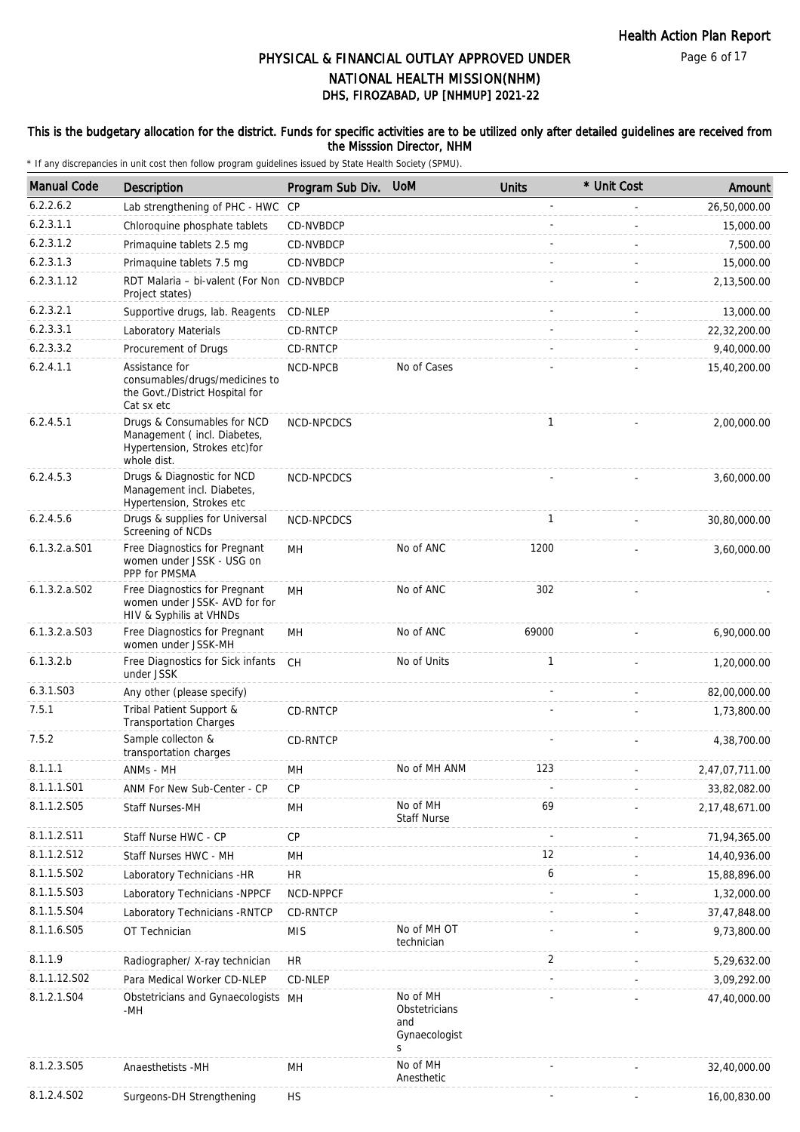Page 6 of 17

# DHS, FIROZABAD, UP [NHMUP] 2021-22 PHYSICAL & FINANCIAL OUTLAY APPROVED UNDER NATIONAL HEALTH MISSION(NHM)

#### This is the budgetary allocation for the district. Funds for specific activities are to be utilized only after detailed guidelines are received from the Misssion Director, NHM

| <b>Manual Code</b> | Description                                                                                                | Program Sub Div. | <b>UoM</b>                                             | <b>Units</b> | * Unit Cost | Amount         |
|--------------------|------------------------------------------------------------------------------------------------------------|------------------|--------------------------------------------------------|--------------|-------------|----------------|
| 6.2.2.6.2          | Lab strengthening of PHC - HWC                                                                             | CP               |                                                        |              |             | 26,50,000.00   |
| 6.2.3.1.1          | Chloroquine phosphate tablets                                                                              | CD-NVBDCP        |                                                        |              |             | 15,000.00      |
| 6.2.3.1.2          | Primaquine tablets 2.5 mg                                                                                  | CD-NVBDCP        |                                                        |              |             | 7,500.00       |
| 6.2.3.1.3          | Primaquine tablets 7.5 mg                                                                                  | CD-NVBDCP        |                                                        |              |             | 15,000.00      |
| 6.2.3.1.12         | RDT Malaria - bi-valent (For Non CD-NVBDCP<br>Project states)                                              |                  |                                                        |              |             | 2,13,500.00    |
| 6.2.3.2.1          | Supportive drugs, lab. Reagents                                                                            | CD-NLEP          |                                                        |              |             | 13,000.00      |
| 6.2.3.3.1          | Laboratory Materials                                                                                       | CD-RNTCP         |                                                        |              |             | 22,32,200.00   |
| 6.2.3.3.2          | Procurement of Drugs                                                                                       | CD-RNTCP         |                                                        |              |             | 9,40,000.00    |
| 6.2.4.1.1          | Assistance for<br>consumables/drugs/medicines to<br>the Govt./District Hospital for<br>Cat sx etc          | NCD-NPCB         | No of Cases                                            |              |             | 15,40,200.00   |
| 6.2.4.5.1          | Drugs & Consumables for NCD<br>Management (incl. Diabetes,<br>Hypertension, Strokes etc)for<br>whole dist. | NCD-NPCDCS       |                                                        | $\mathbf{1}$ |             | 2,00,000.00    |
| 6.2.4.5.3          | Drugs & Diagnostic for NCD<br>Management incl. Diabetes,<br>Hypertension, Strokes etc                      | NCD-NPCDCS       |                                                        |              |             | 3,60,000.00    |
| 6.2.4.5.6          | Drugs & supplies for Universal<br>Screening of NCDs                                                        | NCD-NPCDCS       |                                                        | $\mathbf{1}$ |             | 30,80,000.00   |
| $6.1.3.2.a.$ S01   | Free Diagnostics for Pregnant<br>women under JSSK - USG on<br>PPP for PMSMA                                | MH               | No of ANC                                              | 1200         |             | 3,60,000.00    |
| $6.1.3.2.a.$ SO2   | Free Diagnostics for Pregnant<br>women under JSSK- AVD for for<br>HIV & Syphilis at VHNDs                  | MH               | No of ANC                                              | 302          |             |                |
| 6.1.3.2.a.S03      | Free Diagnostics for Pregnant<br>women under JSSK-MH                                                       | MH               | No of ANC                                              | 69000        |             | 6,90,000.00    |
| 6.1.3.2.b          | Free Diagnostics for Sick infants<br>under JSSK                                                            | CH               | No of Units                                            | $\mathbf{1}$ |             | 1,20,000.00    |
| 6.3.1.S03          | Any other (please specify)                                                                                 |                  |                                                        |              |             | 82,00,000.00   |
| 7.5.1              | Tribal Patient Support &<br><b>Transportation Charges</b>                                                  | CD-RNTCP         |                                                        |              |             | 1,73,800.00    |
| 7.5.2              | Sample collecton &<br>transportation charges                                                               | CD-RNTCP         |                                                        |              |             | 4,38,700.00    |
| 8.1.1.1            | ANMs - MH                                                                                                  | MН               | No of MH ANM                                           | 123          |             | 2,47,07,711.00 |
| 8.1.1.1.S01        | ANM For New Sub-Center - CP                                                                                | СP               |                                                        |              |             | 33,82,082.00   |
| 8.1.1.2.S05        | Staff Nurses-MH                                                                                            | MH               | No of MH<br><b>Staff Nurse</b>                         | 69           |             | 2,17,48,671.00 |
| 8.1.1.2.S11        | Staff Nurse HWC - CP                                                                                       | <b>CP</b>        |                                                        |              |             | 71,94,365.00   |
| 8.1.1.2.S12        | Staff Nurses HWC - MH                                                                                      | MH               |                                                        | 12           |             | 14,40,936.00   |
| 8.1.1.5.S02        | Laboratory Technicians -HR                                                                                 | <b>HR</b>        |                                                        | 6            |             | 15,88,896.00   |
| 8.1.1.5.S03        | Laboratory Technicians -NPPCF                                                                              | NCD-NPPCF        |                                                        |              |             | 1,32,000.00    |
| 8.1.1.5.S04        | Laboratory Technicians - RNTCP                                                                             | CD-RNTCP         |                                                        |              |             | 37,47,848.00   |
| 8.1.1.6.S05        | OT Technician                                                                                              | <b>MIS</b>       | No of MH OT<br>technician                              |              |             | 9,73,800.00    |
| 8.1.1.9            | Radiographer/ X-ray technician                                                                             | <b>HR</b>        |                                                        | 2            |             | 5,29,632.00    |
| 8.1.1.12.S02       | Para Medical Worker CD-NLEP                                                                                | CD-NLEP          |                                                        |              |             | 3,09,292.00    |
| 8.1.2.1.S04        | Obstetricians and Gynaecologists MH<br>-MH                                                                 |                  | No of MH<br>Obstetricians<br>and<br>Gynaecologist<br>S |              |             | 47,40,000.00   |
| 8.1.2.3.S05        | Anaesthetists -MH                                                                                          | MH               | No of MH<br>Anesthetic                                 |              |             | 32,40,000.00   |
| 8.1.2.4.S02        | Surgeons-DH Strengthening                                                                                  | <b>HS</b>        |                                                        |              |             | 16,00,830.00   |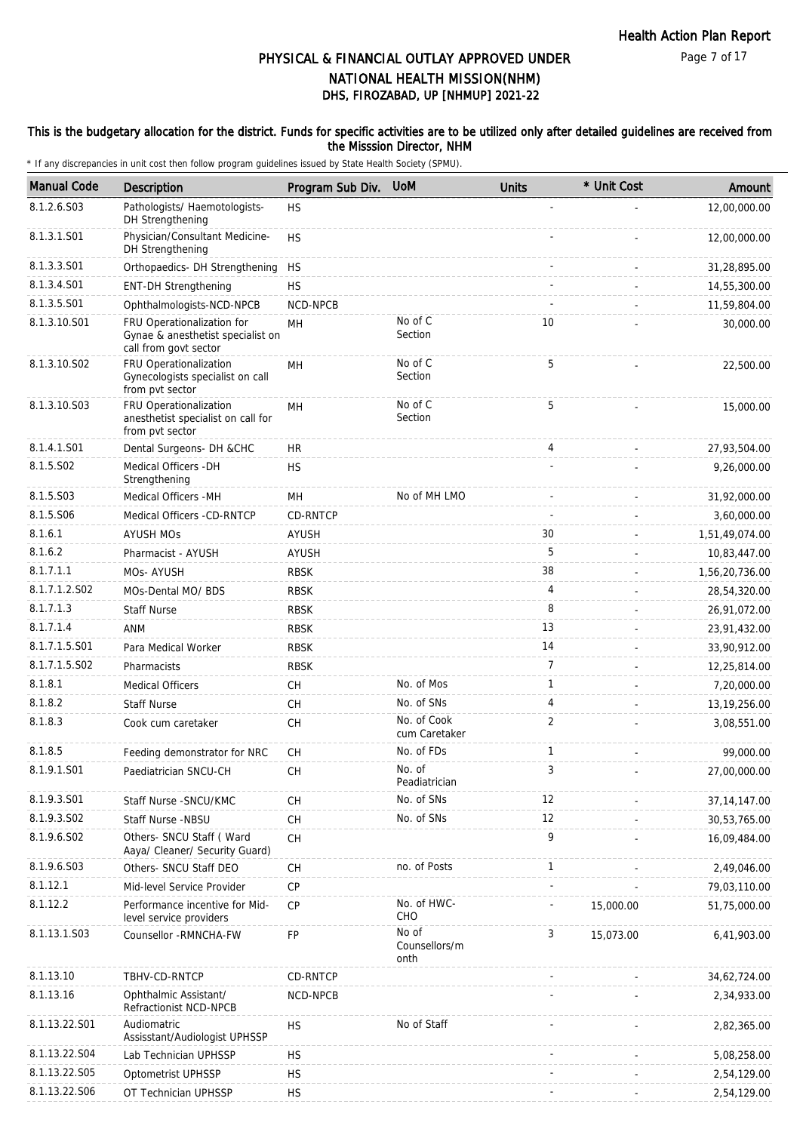Page 7 of 17

# DHS, FIROZABAD, UP [NHMUP] 2021-22 PHYSICAL & FINANCIAL OUTLAY APPROVED UNDER NATIONAL HEALTH MISSION(NHM)

#### This is the budgetary allocation for the district. Funds for specific activities are to be utilized only after detailed guidelines are received from the Misssion Director, NHM

| <b>Manual Code</b> | Description                                                                              | Program Sub Div. | <b>UoM</b>                     | <b>Units</b>   | * Unit Cost | Amount         |
|--------------------|------------------------------------------------------------------------------------------|------------------|--------------------------------|----------------|-------------|----------------|
| 8.1.2.6.S03        | Pathologists/ Haemotologists-                                                            | <b>HS</b>        |                                |                |             | 12,00,000.00   |
|                    | DH Strengthening                                                                         |                  |                                |                |             |                |
| 8.1.3.1.S01        | Physician/Consultant Medicine-<br>DH Strengthening                                       | <b>HS</b>        |                                |                |             | 12,00,000.00   |
| 8.1.3.3.S01        | Orthopaedics- DH Strengthening                                                           | <b>HS</b>        |                                |                |             | 31,28,895.00   |
| 8.1.3.4.S01        | <b>ENT-DH Strengthening</b>                                                              | <b>HS</b>        |                                |                |             | 14,55,300.00   |
| 8.1.3.5.S01        | Ophthalmologists-NCD-NPCB                                                                | NCD-NPCB         |                                |                |             | 11,59,804.00   |
| 8.1.3.10.S01       | FRU Operationalization for<br>Gynae & anesthetist specialist on<br>call from govt sector | MН               | No of C<br>Section             | 10             |             | 30,000.00      |
| 8.1.3.10.S02       | FRU Operationalization<br>Gynecologists specialist on call<br>from pvt sector            | MH               | No of C<br>Section             | 5              |             | 22,500.00      |
| 8.1.3.10.S03       | FRU Operationalization<br>anesthetist specialist on call for<br>from pvt sector          | MН               | No of C<br>Section             | 5              |             | 15,000.00      |
| 8.1.4.1.S01        | Dental Surgeons- DH &CHC                                                                 | <b>HR</b>        |                                | 4              |             | 27,93,504.00   |
| 8.1.5.S02          | Medical Officers - DH<br>Strengthening                                                   | <b>HS</b>        |                                |                |             | 9,26,000.00    |
| 8.1.5.S03          | Medical Officers - MH                                                                    | MH               | No of MH LMO                   |                |             | 31,92,000.00   |
| 8.1.5.S06          | Medical Officers -CD-RNTCP                                                               | CD-RNTCP         |                                |                |             | 3,60,000.00    |
| 8.1.6.1            | <b>AYUSH MOs</b>                                                                         | AYUSH            |                                | 30             |             | 1,51,49,074.00 |
| 8.1.6.2            | Pharmacist - AYUSH                                                                       | AYUSH            |                                | 5              |             | 10,83,447.00   |
| 8.1.7.1.1          | MOs-AYUSH                                                                                | <b>RBSK</b>      |                                | 38             |             | 1,56,20,736.00 |
| 8.1.7.1.2.S02      | MOs-Dental MO/ BDS                                                                       | <b>RBSK</b>      |                                | 4              |             | 28,54,320.00   |
| 8.1.7.1.3          | <b>Staff Nurse</b>                                                                       | <b>RBSK</b>      |                                | 8              |             | 26,91,072.00   |
| 8.1.7.1.4          | <b>ANM</b>                                                                               | <b>RBSK</b>      |                                | 13             |             | 23,91,432.00   |
| 8.1.7.1.5.S01      | Para Medical Worker                                                                      | <b>RBSK</b>      |                                | 14             |             | 33,90,912.00   |
| 8.1.7.1.5.S02      | Pharmacists                                                                              | <b>RBSK</b>      |                                | $\overline{7}$ |             | 12,25,814.00   |
| 8.1.8.1            | <b>Medical Officers</b>                                                                  | СH               | No. of Mos                     | $\mathbf{1}$   |             | 7,20,000.00    |
| 8.1.8.2            | <b>Staff Nurse</b>                                                                       | <b>CH</b>        | No. of SNs                     | 4              |             | 13, 19, 256.00 |
| 8.1.8.3            | Cook cum caretaker                                                                       | CH               | No. of Cook<br>cum Caretaker   | 2              |             | 3,08,551.00    |
| 8.1.8.5            | Feeding demonstrator for NRC                                                             | СH               | No. of FDs                     | $\mathbf{1}$   |             | 99,000.00      |
| 8.1.9.1.S01        | Paediatrician SNCU-CH                                                                    | CH               | No. of<br>Peadiatrician        | 3              |             | 27,00,000.00   |
| 8.1.9.3.S01        | Staff Nurse - SNCU/KMC                                                                   | <b>CH</b>        | No. of SNs                     | 12             |             | 37, 14, 147.00 |
| 8.1.9.3.SO2        | Staff Nurse -NBSU                                                                        | CH               | No. of SNs                     | 12             |             | 30,53,765.00   |
| 8.1.9.6.S02        | Others- SNCU Staff (Ward<br>Aaya/ Cleaner/ Security Guard)                               | CH               |                                | 9              |             | 16,09,484.00   |
| 8.1.9.6.S03        | Others- SNCU Staff DEO                                                                   | CH               | no. of Posts                   | $\mathbf{1}$   |             | 2,49,046.00    |
| 8.1.12.1           | Mid-level Service Provider                                                               | СP               |                                |                |             | 79,03,110.00   |
| 8.1.12.2           | Performance incentive for Mid-<br>level service providers                                | <b>CP</b>        | No. of HWC-<br>CHO             |                | 15,000.00   | 51,75,000.00   |
| 8.1.13.1.S03       | Counsellor -RMNCHA-FW                                                                    | FP               | No of<br>Counsellors/m<br>onth | 3              | 15,073.00   | 6,41,903.00    |
| 8.1.13.10          | TBHV-CD-RNTCP                                                                            | CD-RNTCP         |                                |                |             | 34,62,724.00   |
| 8.1.13.16          | Ophthalmic Assistant/<br>Refractionist NCD-NPCB                                          | NCD-NPCB         |                                |                |             | 2,34,933.00    |
| 8.1.13.22.S01      | Audiomatric<br>Assisstant/Audiologist UPHSSP                                             | <b>HS</b>        | No of Staff                    |                |             | 2,82,365.00    |
| 8.1.13.22.S04      | Lab Technician UPHSSP                                                                    | <b>HS</b>        |                                |                |             | 5,08,258.00    |
| 8.1.13.22.S05      | Optometrist UPHSSP                                                                       | <b>HS</b>        |                                |                |             | 2,54,129.00    |
| 8.1.13.22.S06      | OT Technician UPHSSP                                                                     | <b>HS</b>        |                                |                |             | 2,54,129.00    |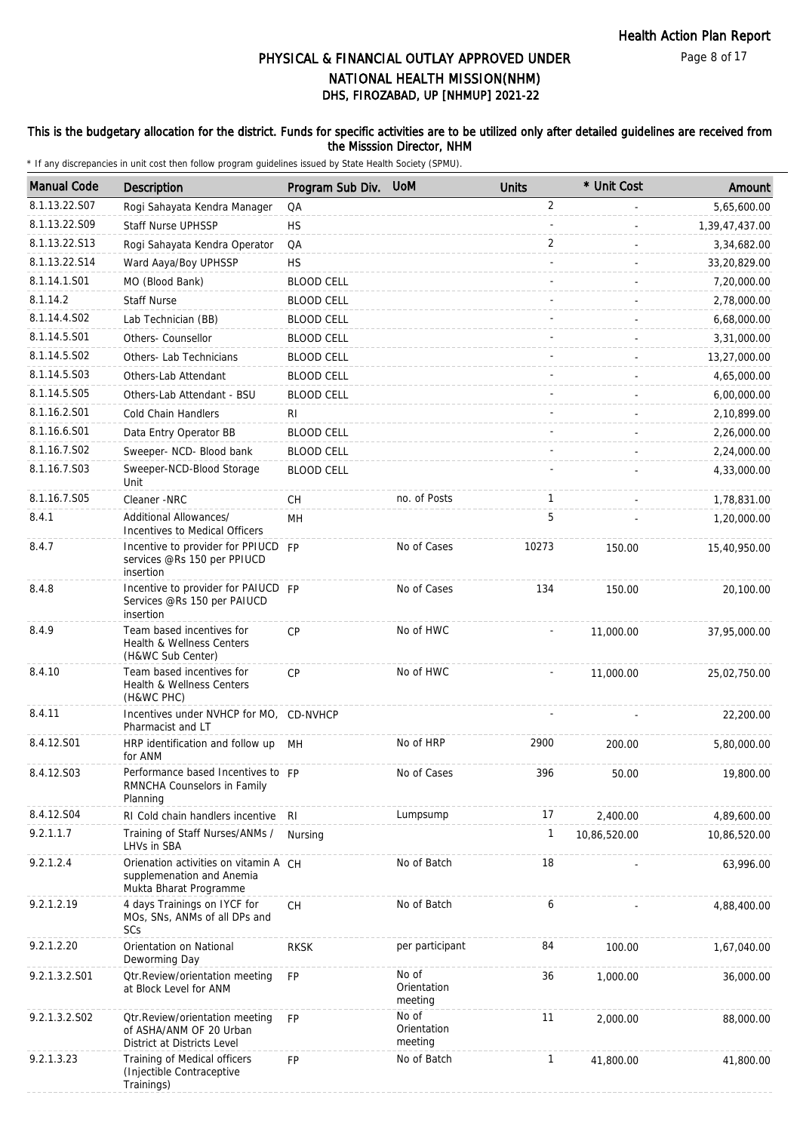#### This is the budgetary allocation for the district. Funds for specific activities are to be utilized only after detailed guidelines are received from the Misssion Director, NHM

| <b>Manual Code</b> | Description                                                                                  | Program Sub Div.  | <b>UoM</b>                      | <b>Units</b>   | * Unit Cost  | Amount         |
|--------------------|----------------------------------------------------------------------------------------------|-------------------|---------------------------------|----------------|--------------|----------------|
| 8.1.13.22.S07      | Rogi Sahayata Kendra Manager                                                                 | QA                |                                 | $\overline{2}$ |              | 5,65,600.00    |
| 8.1.13.22.S09      | <b>Staff Nurse UPHSSP</b>                                                                    | <b>HS</b>         |                                 |                |              | 1,39,47,437.00 |
| 8.1.13.22.S13      | Rogi Sahayata Kendra Operator                                                                | QA                |                                 | 2              |              | 3,34,682.00    |
| 8.1.13.22.S14      | Ward Aaya/Boy UPHSSP                                                                         | <b>HS</b>         |                                 |                |              | 33,20,829.00   |
| 8.1.14.1.S01       | MO (Blood Bank)                                                                              | <b>BLOOD CELL</b> |                                 |                |              | 7,20,000.00    |
| 8.1.14.2           | <b>Staff Nurse</b>                                                                           | <b>BLOOD CELL</b> |                                 |                |              | 2,78,000.00    |
| 8.1.14.4.S02       | Lab Technician (BB)                                                                          | <b>BLOOD CELL</b> |                                 |                |              | 6,68,000.00    |
| 8.1.14.5.S01       | Others- Counsellor                                                                           | <b>BLOOD CELL</b> |                                 |                |              | 3,31,000.00    |
| 8.1.14.5.S02       | Others- Lab Technicians                                                                      | <b>BLOOD CELL</b> |                                 |                |              | 13,27,000.00   |
| 8.1.14.5.S03       | Others-Lab Attendant                                                                         | <b>BLOOD CELL</b> |                                 |                |              | 4,65,000.00    |
| 8.1.14.5.S05       | Others-Lab Attendant - BSU                                                                   | <b>BLOOD CELL</b> |                                 |                |              | 6,00,000.00    |
| 8.1.16.2.S01       | Cold Chain Handlers                                                                          | RI                |                                 |                |              | 2,10,899.00    |
| 8.1.16.6.S01       | Data Entry Operator BB                                                                       | <b>BLOOD CELL</b> |                                 |                |              | 2,26,000.00    |
| 8.1.16.7.S02       | Sweeper- NCD- Blood bank                                                                     | <b>BLOOD CELL</b> |                                 |                |              | 2,24,000.00    |
| 8.1.16.7.S03       | Sweeper-NCD-Blood Storage                                                                    | <b>BLOOD CELL</b> |                                 |                |              | 4,33,000.00    |
|                    | Unit                                                                                         |                   |                                 |                |              |                |
| 8.1.16.7.S05       | Cleaner -NRC                                                                                 | CН                | no. of Posts                    | 1              |              | 1,78,831.00    |
| 8.4.1              | Additional Allowances/<br>Incentives to Medical Officers                                     | MH                |                                 | 5              |              | 1,20,000.00    |
| 8.4.7              | Incentive to provider for PPIUCD FP<br>services @Rs 150 per PPIUCD<br>insertion              |                   | No of Cases                     | 10273          | 150.00       | 15,40,950.00   |
| 8.4.8              | Incentive to provider for PAIUCD FP<br>Services @Rs 150 per PAIUCD<br>insertion              |                   | No of Cases                     | 134            | 150.00       | 20,100.00      |
| 8.4.9              | Team based incentives for<br>Health & Wellness Centers<br>(H&WC Sub Center)                  | <b>CP</b>         | No of HWC                       |                | 11,000.00    | 37,95,000.00   |
| 8.4.10             | Team based incentives for<br>Health & Wellness Centers<br>(H&WC PHC)                         | <b>CP</b>         | No of HWC                       |                | 11,000.00    | 25,02,750.00   |
| 8.4.11             | Incentives under NVHCP for MO,<br>Pharmacist and LT                                          | CD-NVHCP          |                                 |                |              | 22,200.00      |
| 8.4.12.S01         | HRP identification and follow up<br>for ANM                                                  | MН                | No of HRP                       | 2900           | 200.00       | 5,80,000.00    |
| 8.4.12.S03         | Performance based Incentives to FP<br>RMNCHA Counselors in Family<br>Planning                |                   | No of Cases                     | 396            | 50.00        | 19,800.00      |
| 8.4.12.S04         | RI Cold chain handlers incentive                                                             | R <sub>l</sub>    | Lumpsump                        | 17             | 2,400.00     | 4,89,600.00    |
| 9.2.1.1.7          | Training of Staff Nurses/ANMs /<br>LHVs in SBA                                               | Nursing           |                                 | 1              | 10,86,520.00 | 10,86,520.00   |
| 9.2.1.2.4          | Orienation activities on vitamin A CH<br>supplemenation and Anemia<br>Mukta Bharat Programme |                   | No of Batch                     | 18             |              | 63,996.00      |
| 9.2.1.2.19         | 4 days Trainings on IYCF for<br>MOs, SNs, ANMs of all DPs and<br>SCs                         | <b>CH</b>         | No of Batch                     | 6              |              | 4,88,400.00    |
| 9.2.1.2.20         | Orientation on National<br>Deworming Day                                                     | <b>RKSK</b>       | per participant                 | 84             | 100.00       | 1,67,040.00    |
| 9.2.1.3.2.S01      | <b>Qtr.Review/orientation meeting</b><br>at Block Level for ANM                              | <b>FP</b>         | No of<br>Orientation<br>meeting | 36             | 1,000.00     | 36,000.00      |
| 9.2.1.3.2.S02      | Otr. Review/orientation meeting<br>of ASHA/ANM OF 20 Urban<br>District at Districts Level    | <b>FP</b>         | No of<br>Orientation<br>meeting | 11             | 2,000.00     | 88,000.00      |
| 9.2.1.3.23         | Training of Medical officers<br>(Injectible Contraceptive<br>Trainings)                      | <b>FP</b>         | No of Batch                     | $\mathbf{1}$   | 41,800.00    | 41,800.00      |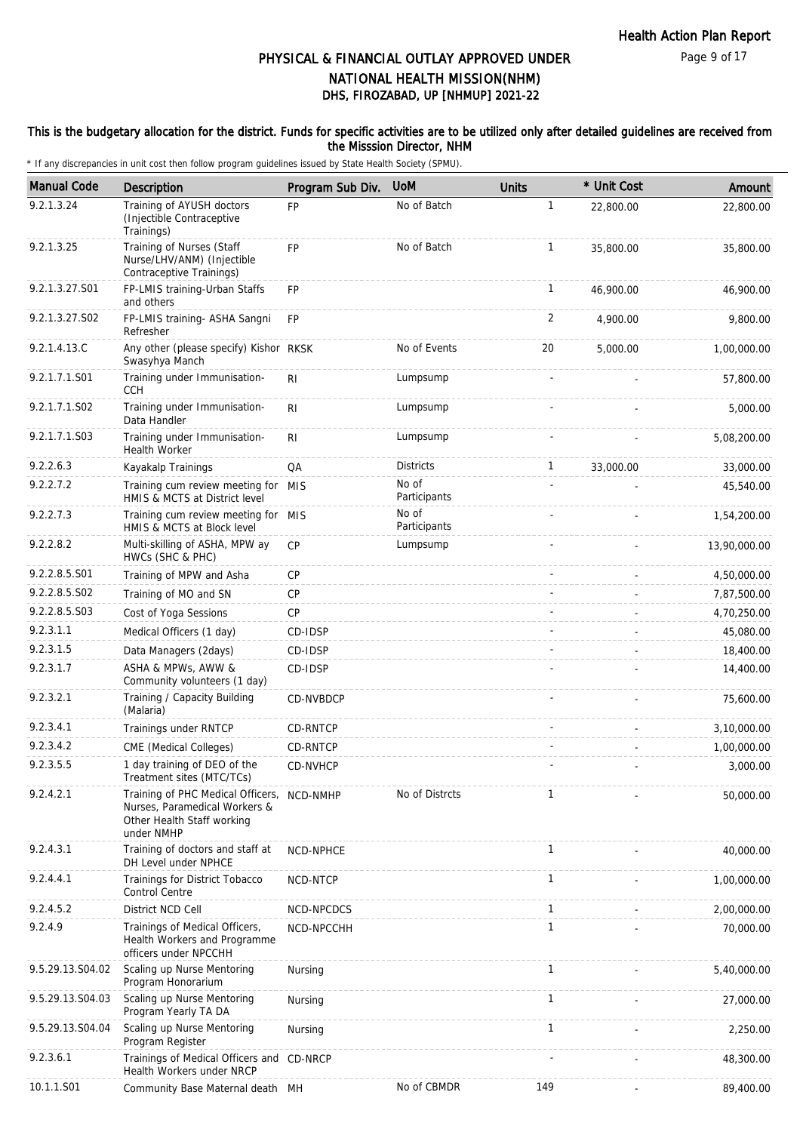#### This is the budgetary allocation for the district. Funds for specific activities are to be utilized only after detailed guidelines are received from the Misssion Director, NHM

| <b>Manual Code</b> | Description                                                                                                             | Program Sub Div. | <b>UoM</b>            | <b>Units</b>   | * Unit Cost | Amount       |
|--------------------|-------------------------------------------------------------------------------------------------------------------------|------------------|-----------------------|----------------|-------------|--------------|
| 9.2.1.3.24         | Training of AYUSH doctors<br>(Injectible Contraceptive<br>Trainings)                                                    | <b>FP</b>        | No of Batch           | $\mathbf{1}$   | 22,800.00   | 22,800.00    |
| 9.2.1.3.25         | Training of Nurses (Staff<br>Nurse/LHV/ANM) (Injectible<br>Contraceptive Trainings)                                     | FP               | No of Batch           | $\mathbf{1}$   | 35,800.00   | 35,800.00    |
| 9.2.1.3.27.S01     | FP-LMIS training-Urban Staffs<br>and others                                                                             | <b>FP</b>        |                       | $\mathbf{1}$   | 46,900.00   | 46,900.00    |
| 9.2.1.3.27.S02     | FP-LMIS training- ASHA Sangni<br>Refresher                                                                              | <b>FP</b>        |                       | $\overline{2}$ | 4,900.00    | 9,800.00     |
| 9.2.1.4.13.C       | Any other (please specify) Kishor RKSK<br>Swasyhya Manch                                                                |                  | No of Events          | 20             | 5,000.00    | 1,00,000.00  |
| 9.2.1.7.1.S01      | Training under Immunisation-<br><b>CCH</b>                                                                              | R <sub>l</sub>   | Lumpsump              |                |             | 57,800.00    |
| 9.2.1.7.1.S02      | Training under Immunisation-<br>Data Handler                                                                            | R <sub>l</sub>   | Lumpsump              |                |             | 5,000.00     |
| 9.2.1.7.1.S03      | Training under Immunisation-<br><b>Health Worker</b>                                                                    | RI               | Lumpsump              |                |             | 5,08,200.00  |
| 9.2.2.6.3          | Kayakalp Trainings                                                                                                      | QA               | <b>Districts</b>      | 1              | 33,000.00   | 33,000.00    |
| 9.2.2.7.2          | Training cum review meeting for MIS<br>HMIS & MCTS at District level                                                    |                  | No of<br>Participants |                |             | 45,540.00    |
| 9.2.2.7.3          | Training cum review meeting for MIS<br>HMIS & MCTS at Block level                                                       |                  | No of<br>Participants |                |             | 1,54,200.00  |
| 9.2.2.8.2          | Multi-skilling of ASHA, MPW ay<br>HWCs (SHC & PHC)                                                                      | <b>CP</b>        | Lumpsump              |                |             | 13,90,000.00 |
| 9.2.2.8.5.S01      | Training of MPW and Asha                                                                                                | CP               |                       |                |             | 4,50,000.00  |
| 9.2.2.8.5.S02      | Training of MO and SN                                                                                                   | CP               |                       |                |             | 7,87,500.00  |
| 9.2.2.8.5.S03      | Cost of Yoga Sessions                                                                                                   | СP               |                       |                |             | 4,70,250.00  |
| 9.2.3.1.1          | Medical Officers (1 day)                                                                                                | CD-IDSP          |                       |                |             | 45,080.00    |
| 9.2.3.1.5          | Data Managers (2days)                                                                                                   | CD-IDSP          |                       |                |             | 18,400.00    |
| 9.2.3.1.7          | ASHA & MPWs, AWW &<br>Community volunteers (1 day)                                                                      | CD-IDSP          |                       |                |             | 14,400.00    |
| 9.2.3.2.1          | Training / Capacity Building<br>(Malaria)                                                                               | CD-NVBDCP        |                       |                |             | 75,600.00    |
| 9.2.3.4.1          | Trainings under RNTCP                                                                                                   | CD-RNTCP         |                       |                |             | 3,10,000.00  |
| 9.2.3.4.2          | CME (Medical Colleges)                                                                                                  | CD-RNTCP         |                       |                |             | 1,00,000.00  |
| 9.2.3.5.5          | 1 day training of DEO of the<br>Treatment sites (MTC/TCs)                                                               | CD-NVHCP         |                       |                |             | 3,000.00     |
| 9.2.4.2.1          | Training of PHC Medical Officers, NCD-NMHP<br>Nurses, Paramedical Workers &<br>Other Health Staff working<br>under NMHP |                  | No of Distrcts        | $\mathbf{1}$   |             | 50,000.00    |
| 9.2.4.3.1          | Training of doctors and staff at<br>DH Level under NPHCE                                                                | NCD-NPHCE        |                       | $\mathbf{1}$   |             | 40,000.00    |
| 9.2.4.4.1          | Trainings for District Tobacco<br>Control Centre                                                                        | NCD-NTCP         |                       | 1              |             | 1,00,000.00  |
| 9.2.4.5.2          | District NCD Cell                                                                                                       | NCD-NPCDCS       |                       | $\mathbf{1}$   |             | 2,00,000.00  |
| 9.2.4.9            | Trainings of Medical Officers,<br>Health Workers and Programme<br>officers under NPCCHH                                 | NCD-NPCCHH       |                       | 1              |             | 70,000.00    |
| 9.5.29.13.S04.02   | Scaling up Nurse Mentoring<br>Program Honorarium                                                                        | Nursing          |                       | $\mathbf{1}$   |             | 5,40,000.00  |
| 9.5.29.13.S04.03   | Scaling up Nurse Mentoring<br>Program Yearly TA DA                                                                      | Nursing          |                       | $\mathbf{1}$   |             | 27,000.00    |
| 9.5.29.13.S04.04   | Scaling up Nurse Mentoring<br>Program Register                                                                          | Nursing          |                       | $\mathbf{1}$   |             | 2,250.00     |
| 9.2.3.6.1          | Trainings of Medical Officers and CD-NRCP<br>Health Workers under NRCP                                                  |                  |                       |                |             | 48,300.00    |
| 10.1.1.S01         | Community Base Maternal death MH                                                                                        |                  | No of CBMDR           | 149            |             | 89,400.00    |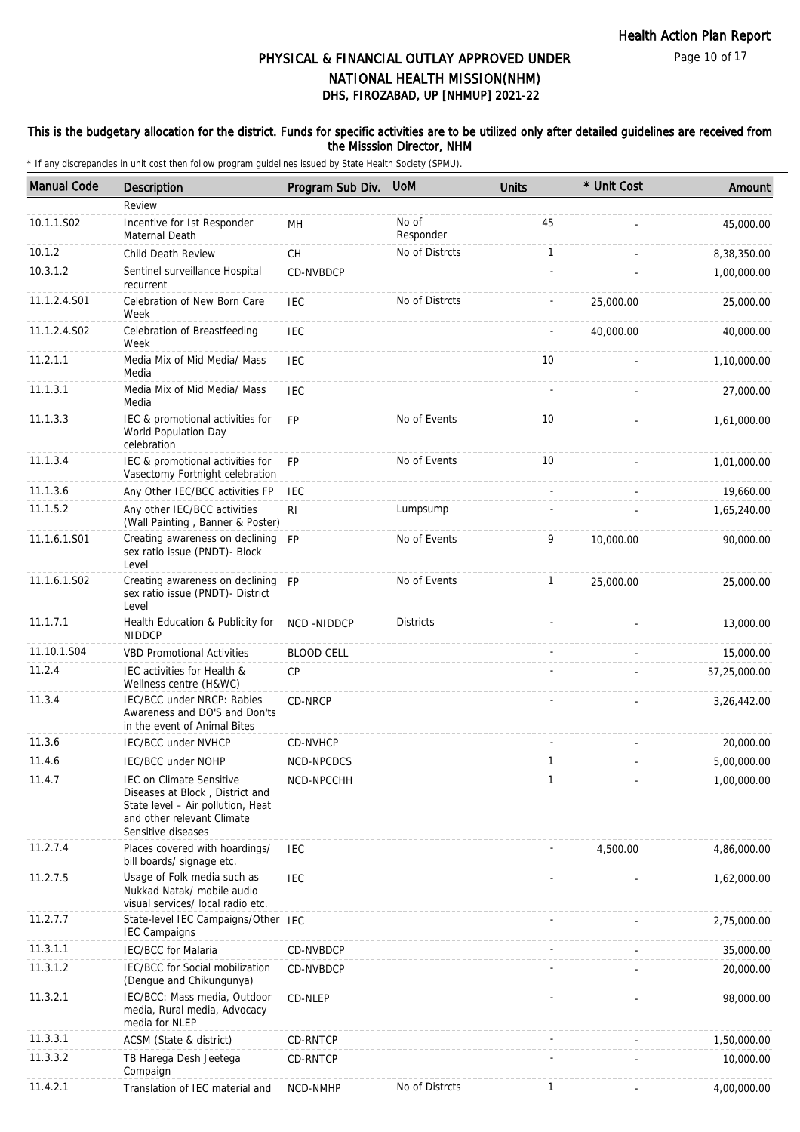Page 10 of 17

# DHS, FIROZABAD, UP [NHMUP] 2021-22 PHYSICAL & FINANCIAL OUTLAY APPROVED UNDER NATIONAL HEALTH MISSION(NHM)

#### This is the budgetary allocation for the district. Funds for specific activities are to be utilized only after detailed guidelines are received from the Misssion Director, NHM

| <b>Manual Code</b> | <b>Description</b>                                                                                                                                          | Program Sub Div.  | <b>UoM</b>         | <b>Units</b> | * Unit Cost | Amount       |
|--------------------|-------------------------------------------------------------------------------------------------------------------------------------------------------------|-------------------|--------------------|--------------|-------------|--------------|
|                    | Review                                                                                                                                                      |                   |                    |              |             |              |
| 10.1.1.S02         | Incentive for Ist Responder<br>Maternal Death                                                                                                               | MН                | No of<br>Responder | 45           |             | 45,000.00    |
| 10.1.2             | Child Death Review                                                                                                                                          | <b>CH</b>         | No of Distrcts     | $\mathbf{1}$ |             | 8,38,350.00  |
| 10.3.1.2           | Sentinel surveillance Hospital<br>recurrent                                                                                                                 | CD-NVBDCP         |                    |              |             | 1,00,000.00  |
| 11.1.2.4.S01       | Celebration of New Born Care<br>Week                                                                                                                        | <b>IEC</b>        | No of Distrcts     |              | 25,000.00   | 25,000.00    |
| 11.1.2.4.S02       | Celebration of Breastfeeding<br>Week                                                                                                                        | <b>IEC</b>        |                    |              | 40,000.00   | 40,000.00    |
| 11.2.1.1           | Media Mix of Mid Media/ Mass<br>Media                                                                                                                       | <b>IEC</b>        |                    | 10           |             | 1,10,000.00  |
| 11.1.3.1           | Media Mix of Mid Media/ Mass<br>Media                                                                                                                       | IEC               |                    |              |             | 27,000.00    |
| 11.1.3.3           | IEC & promotional activities for<br>World Population Day<br>celebration                                                                                     | <b>FP</b>         | No of Events       | 10           |             | 1,61,000.00  |
| 11.1.3.4           | IEC & promotional activities for<br>Vasectomy Fortnight celebration                                                                                         | <b>FP</b>         | No of Events       | 10           |             | 1,01,000.00  |
| 11.1.3.6           | Any Other IEC/BCC activities FP                                                                                                                             | IEC               |                    |              |             | 19,660.00    |
| 11.1.5.2           | Any other IEC/BCC activities<br>(Wall Painting, Banner & Poster)                                                                                            | R <sub>l</sub>    | Lumpsump           |              |             | 1,65,240.00  |
| 11.1.6.1.S01       | Creating awareness on declining<br>sex ratio issue (PNDT)- Block<br>Level                                                                                   | <b>FP</b>         | No of Events       | 9            | 10,000.00   | 90,000.00    |
| 11.1.6.1.S02       | Creating awareness on declining<br>sex ratio issue (PNDT)- District<br>Level                                                                                | <b>FP</b>         | No of Events       | $\mathbf{1}$ | 25,000.00   | 25,000.00    |
| 11.1.7.1           | Health Education & Publicity for<br><b>NIDDCP</b>                                                                                                           | NCD-NIDDCP        | <b>Districts</b>   |              |             | 13,000.00    |
| 11.10.1.S04        | <b>VBD Promotional Activities</b>                                                                                                                           | <b>BLOOD CELL</b> |                    |              |             | 15,000.00    |
| 11.2.4             | IEC activities for Health &<br>Wellness centre (H&WC)                                                                                                       | <b>CP</b>         |                    |              |             | 57,25,000.00 |
| 11.3.4             | IEC/BCC under NRCP: Rabies<br>Awareness and DO'S and Don'ts<br>in the event of Animal Bites                                                                 | CD-NRCP           |                    |              |             | 3,26,442.00  |
| 11.3.6             | IEC/BCC under NVHCP                                                                                                                                         | CD-NVHCP          |                    |              |             | 20,000.00    |
| 11.4.6             | IEC/BCC under NOHP                                                                                                                                          | NCD-NPCDCS        |                    | $\mathbf{1}$ |             | 5.00.000.00  |
| 11.4.7             | <b>IEC on Climate Sensitive</b><br>Diseases at Block, District and<br>State level - Air pollution, Heat<br>and other relevant Climate<br>Sensitive diseases | NCD-NPCCHH        |                    | $\mathbf{1}$ |             | 1,00,000.00  |
| 11.2.7.4           | Places covered with hoardings/<br>bill boards/ signage etc.                                                                                                 | IEC               |                    |              | 4,500.00    | 4,86,000.00  |
| 11.2.7.5           | Usage of Folk media such as<br>Nukkad Natak/ mobile audio<br>visual services/ local radio etc.                                                              | IEC               |                    |              |             | 1,62,000.00  |
| 11.2.7.7           | State-level IEC Campaigns/Other IEC<br><b>IEC Campaigns</b>                                                                                                 |                   |                    |              |             | 2,75,000.00  |
| 11.3.1.1           | <b>IEC/BCC</b> for Malaria                                                                                                                                  | CD-NVBDCP         |                    |              |             | 35,000.00    |
| 11.3.1.2           | IEC/BCC for Social mobilization<br>(Dengue and Chikungunya)                                                                                                 | CD-NVBDCP         |                    |              |             | 20,000.00    |
| 11.3.2.1           | IEC/BCC: Mass media, Outdoor<br>media, Rural media, Advocacy<br>media for NLEP                                                                              | CD-NLEP           |                    |              |             | 98,000.00    |
| 11.3.3.1           | ACSM (State & district)                                                                                                                                     | CD-RNTCP          |                    |              |             | 1,50,000.00  |
| 11.3.3.2           | TB Harega Desh Jeetega<br>Compaign                                                                                                                          | CD-RNTCP          |                    |              |             | 10,000.00    |
| 11.4.2.1           | Translation of IEC material and                                                                                                                             | NCD-NMHP          | No of Distrcts     | 1            |             | 4,00,000.00  |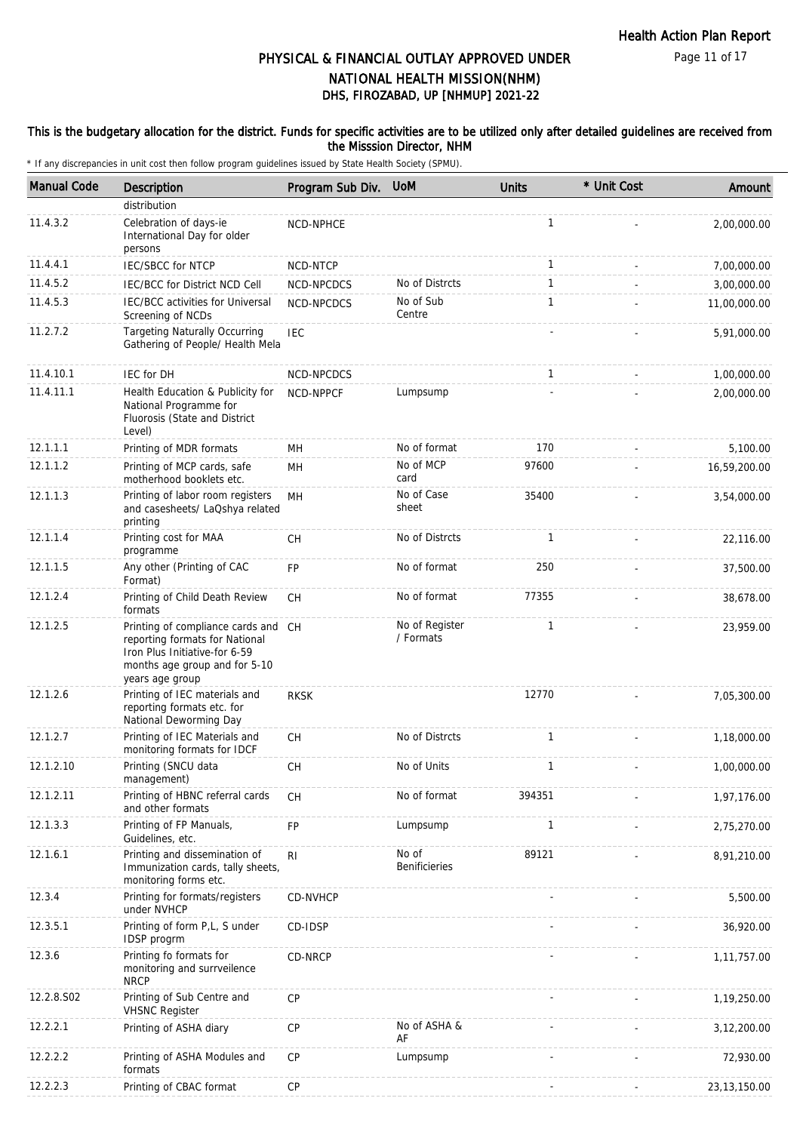Page 11 of 17

# DHS, FIROZABAD, UP [NHMUP] 2021-22 PHYSICAL & FINANCIAL OUTLAY APPROVED UNDER NATIONAL HEALTH MISSION(NHM)

#### This is the budgetary allocation for the district. Funds for specific activities are to be utilized only after detailed guidelines are received from the Misssion Director, NHM

| <b>Manual Code</b> | <b>Description</b>                                                                                                                                         | Program Sub Div. UoM |                               | <b>Units</b> | * Unit Cost | Amount         |
|--------------------|------------------------------------------------------------------------------------------------------------------------------------------------------------|----------------------|-------------------------------|--------------|-------------|----------------|
|                    | distribution                                                                                                                                               |                      |                               |              |             |                |
| 11.4.3.2           | Celebration of days-ie<br>International Day for older<br>persons                                                                                           | NCD-NPHCE            |                               | $\mathbf{1}$ |             | 2,00,000.00    |
| 11.4.4.1           | <b>IEC/SBCC for NTCP</b>                                                                                                                                   | NCD-NTCP             |                               | 1            |             | 7,00,000.00    |
| 11.4.5.2           | IEC/BCC for District NCD Cell                                                                                                                              | NCD-NPCDCS           | No of Distrcts                | $\mathbf{1}$ |             | 3,00,000.00    |
| 11.4.5.3           | IEC/BCC activities for Universal<br>Screening of NCDs                                                                                                      | NCD-NPCDCS           | No of Sub<br>Centre           | $\mathbf{1}$ |             | 11,00,000.00   |
| 11.2.7.2           | <b>Targeting Naturally Occurring</b><br>Gathering of People/ Health Mela                                                                                   | <b>IEC</b>           |                               |              |             | 5,91,000.00    |
| 11.4.10.1          | IEC for DH                                                                                                                                                 | NCD-NPCDCS           |                               | $\mathbf{1}$ |             | 1,00,000.00    |
| 11.4.11.1          | Health Education & Publicity for<br>National Programme for<br>Fluorosis (State and District<br>Level)                                                      | NCD-NPPCF            | Lumpsump                      |              |             | 2,00,000.00    |
| 12.1.1.1           | Printing of MDR formats                                                                                                                                    | MН                   | No of format                  | 170          |             | 5,100.00       |
| 12.1.1.2           | Printing of MCP cards, safe<br>motherhood booklets etc.                                                                                                    | MН                   | No of MCP<br>card             | 97600        |             | 16,59,200.00   |
| 12.1.1.3           | Printing of labor room registers<br>and casesheets/ LaQshya related<br>printing                                                                            | MH                   | No of Case<br>sheet           | 35400        |             | 3,54,000.00    |
| 12.1.1.4           | Printing cost for MAA<br>programme                                                                                                                         | <b>CH</b>            | No of Distrcts                | 1            |             | 22,116.00      |
| 12.1.1.5           | Any other (Printing of CAC<br>Format)                                                                                                                      | FP                   | No of format                  | 250          |             | 37,500.00      |
| 12.1.2.4           | Printing of Child Death Review<br>formats                                                                                                                  | <b>CH</b>            | No of format                  | 77355        |             | 38,678.00      |
| 12.1.2.5           | Printing of compliance cards and CH<br>reporting formats for National<br>Iron Plus Initiative-for 6-59<br>months age group and for 5-10<br>years age group |                      | No of Register<br>/ Formats   | 1            |             | 23,959.00      |
| 12.1.2.6           | Printing of IEC materials and<br>reporting formats etc. for<br>National Deworming Day                                                                      | <b>RKSK</b>          |                               | 12770        |             | 7,05,300.00    |
| 12.1.2.7           | Printing of IEC Materials and<br>monitoring formats for IDCF                                                                                               | <b>CH</b>            | No of Distrcts                | $\mathbf{1}$ |             | 1,18,000.00    |
| 12.1.2.10          | Printing (SNCU data<br>management)                                                                                                                         | СH                   | No of Units                   | $\mathbf{1}$ |             | 1,00,000.00    |
| 12.1.2.11          | Printing of HBNC referral cards<br>and other formats                                                                                                       | <b>CH</b>            | No of format                  | 394351       |             | 1,97,176.00    |
| 12.1.3.3           | Printing of FP Manuals,<br>Guidelines, etc.                                                                                                                | FP                   | Lumpsump                      | 1            |             | 2,75,270.00    |
| 12.1.6.1           | Printing and dissemination of<br>Immunization cards, tally sheets,<br>monitoring forms etc.                                                                | R <sub>l</sub>       | No of<br><b>Benificieries</b> | 89121        |             | 8,91,210.00    |
| 12.3.4             | Printing for formats/registers<br>under NVHCP                                                                                                              | CD-NVHCP             |                               |              |             | 5,500.00       |
| 12.3.5.1           | Printing of form P,L, S under<br>IDSP progrm                                                                                                               | CD-IDSP              |                               |              |             | 36,920.00      |
| 12.3.6             | Printing fo formats for<br>monitoring and surrveilence<br><b>NRCP</b>                                                                                      | CD-NRCP              |                               |              |             | 1,11,757.00    |
| 12.2.8.S02         | Printing of Sub Centre and<br><b>VHSNC Register</b>                                                                                                        | CP                   |                               |              |             | 1,19,250.00    |
| 12.2.2.1           | Printing of ASHA diary                                                                                                                                     | <b>CP</b>            | No of ASHA &<br>AF            |              |             | 3,12,200.00    |
| 12.2.2.2           | Printing of ASHA Modules and<br>formats                                                                                                                    | CP                   | Lumpsump                      |              |             | 72,930.00      |
| 12.2.2.3           | Printing of CBAC format                                                                                                                                    | CP                   |                               |              |             | 23, 13, 150.00 |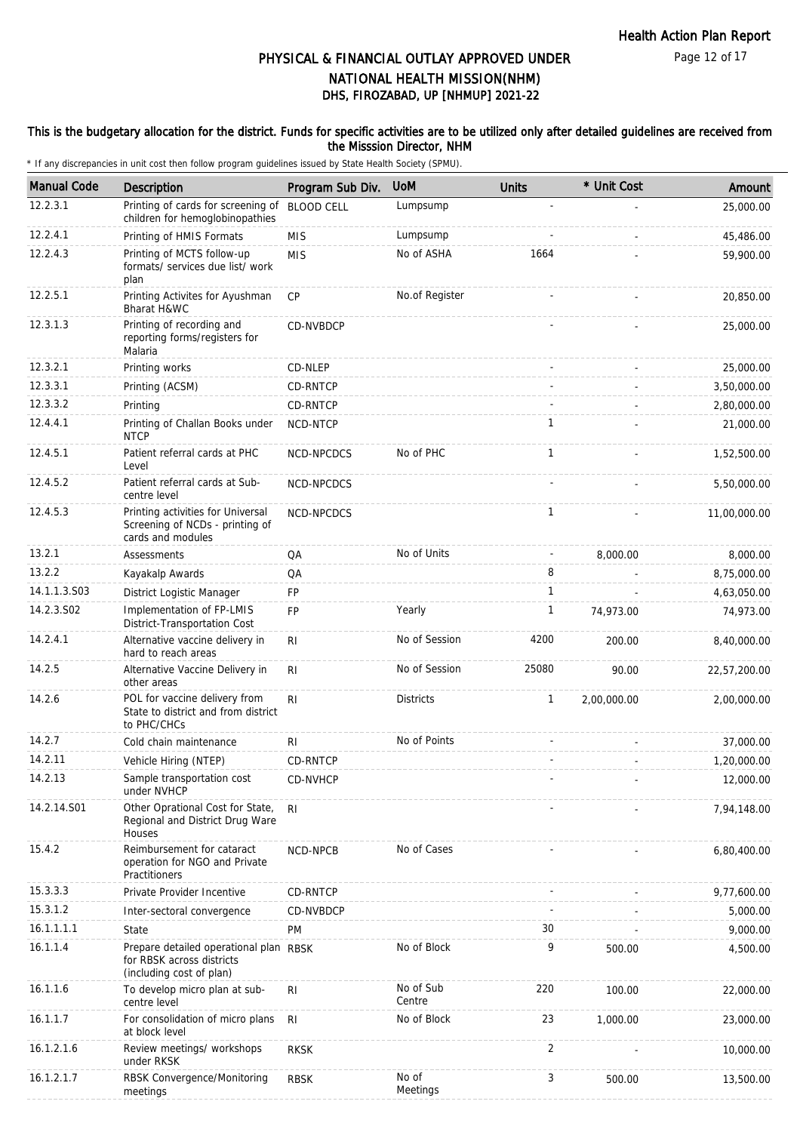Page 12 of 17

# DHS, FIROZABAD, UP [NHMUP] 2021-22 PHYSICAL & FINANCIAL OUTLAY APPROVED UNDER NATIONAL HEALTH MISSION(NHM)

#### This is the budgetary allocation for the district. Funds for specific activities are to be utilized only after detailed guidelines are received from the Misssion Director, NHM

| <b>Manual Code</b> | Description                                                                                     | Program Sub Div.  | <b>UoM</b>          | <b>Units</b>         | * Unit Cost | Amount       |
|--------------------|-------------------------------------------------------------------------------------------------|-------------------|---------------------|----------------------|-------------|--------------|
| 12.2.3.1           | Printing of cards for screening of<br>children for hemoglobinopathies                           | <b>BLOOD CELL</b> | Lumpsump            |                      |             | 25,000.00    |
| 12.2.4.1           | Printing of HMIS Formats                                                                        | <b>MIS</b>        | Lumpsump            |                      |             | 45,486.00    |
| 12.2.4.3           | Printing of MCTS follow-up<br>formats/ services due list/ work<br>plan                          | <b>MIS</b>        | No of ASHA          | 1664                 |             | 59,900.00    |
| 12.2.5.1           | Printing Activites for Ayushman<br>Bharat H&WC                                                  | CP                | No.of Register      |                      |             | 20,850.00    |
| 12.3.1.3           | Printing of recording and<br>reporting forms/registers for<br>Malaria                           | CD-NVBDCP         |                     |                      |             | 25,000.00    |
| 12.3.2.1           | Printing works                                                                                  | CD-NLEP           |                     |                      |             | 25,000.00    |
| 12.3.3.1           | Printing (ACSM)                                                                                 | CD-RNTCP          |                     |                      |             | 3,50,000.00  |
| 12.3.3.2           | Printing                                                                                        | CD-RNTCP          |                     |                      |             | 2,80,000.00  |
| 12.4.4.1           | Printing of Challan Books under<br><b>NTCP</b>                                                  | NCD-NTCP          |                     | $\mathbf{1}$         |             | 21,000.00    |
| 12.4.5.1           | Patient referral cards at PHC<br>Level                                                          | NCD-NPCDCS        | No of PHC           | $\mathbf{1}$         |             | 1,52,500.00  |
| 12.4.5.2           | Patient referral cards at Sub-<br>centre level                                                  | NCD-NPCDCS        |                     |                      |             | 5.50.000.00  |
| 12.4.5.3           | Printing activities for Universal<br>Screening of NCDs - printing of<br>cards and modules       | <b>NCD-NPCDCS</b> |                     | $\mathbf{1}$         |             | 11,00,000.00 |
| 13.2.1             | Assessments                                                                                     | QA                | No of Units         | $\ddot{\phantom{1}}$ | 8,000.00    | 8,000.00     |
| 13.2.2             | Kayakalp Awards                                                                                 | QA                |                     | 8                    |             | 8,75,000.00  |
| 14.1.1.3.S03       | District Logistic Manager                                                                       | FP                |                     | $\mathbf{1}$         |             | 4,63,050.00  |
| 14.2.3.S02         | Implementation of FP-LMIS<br>District-Transportation Cost                                       | <b>FP</b>         | Yearly              | $\mathbf{1}$         | 74,973.00   | 74,973.00    |
| 14.2.4.1           | Alternative vaccine delivery in<br>hard to reach areas                                          | <b>RI</b>         | No of Session       | 4200                 | 200.00      | 8,40,000.00  |
| 14.2.5             | Alternative Vaccine Delivery in<br>other areas                                                  | R <sub>l</sub>    | No of Session       | 25080                | 90.00       | 22,57,200.00 |
| 14.2.6             | POL for vaccine delivery from<br>State to district and from district<br>to PHC/CHCs             | <b>RI</b>         | <b>Districts</b>    | $\mathbf{1}$         | 2,00,000.00 | 2,00,000.00  |
| 14.2.7             | Cold chain maintenance                                                                          | RI.               | No of Points        |                      |             | 37,000.00    |
| 14.2.11            | Vehicle Hiring (NTEP)                                                                           | CD-RNTCP          |                     |                      |             | 1,20,000.00  |
| 14.2.13            | Sample transportation cost<br>under NVHCP                                                       | CD-NVHCP          |                     |                      |             | 12,000.00    |
| 14.2.14.S01        | Other Oprational Cost for State,<br>Regional and District Drug Ware<br>Houses                   | RI                |                     |                      |             | 7,94,148.00  |
| 15.4.2             | Reimbursement for cataract<br>operation for NGO and Private<br>Practitioners                    | NCD-NPCB          | No of Cases         |                      |             | 6,80,400.00  |
| 15.3.3.3           | Private Provider Incentive                                                                      | CD-RNTCP          |                     |                      |             | 9,77,600.00  |
| 15.3.1.2           | Inter-sectoral convergence                                                                      | CD-NVBDCP         |                     |                      |             | 5,000.00     |
| 16.1.1.1.1         | State                                                                                           | PM                |                     | 30                   |             | 9,000.00     |
| 16.1.1.4           | Prepare detailed operational plan RBSK<br>for RBSK across districts<br>(including cost of plan) |                   | No of Block         | 9                    | 500.00      | 4,500.00     |
| 16.1.1.6           | To develop micro plan at sub-<br>centre level                                                   | R <sub>l</sub>    | No of Sub<br>Centre | 220                  | 100.00      | 22,000.00    |
| 16.1.1.7           | For consolidation of micro plans<br>at block level                                              | RI                | No of Block         | 23                   | 1,000.00    | 23,000.00    |
| 16.1.2.1.6         | Review meetings/ workshops<br>under RKSK                                                        | <b>RKSK</b>       |                     | $\overline{2}$       |             | 10,000.00    |
| 16.1.2.1.7         | RBSK Convergence/Monitoring<br>meetings                                                         | <b>RBSK</b>       | No of<br>Meetings   | 3                    | 500.00      | 13,500.00    |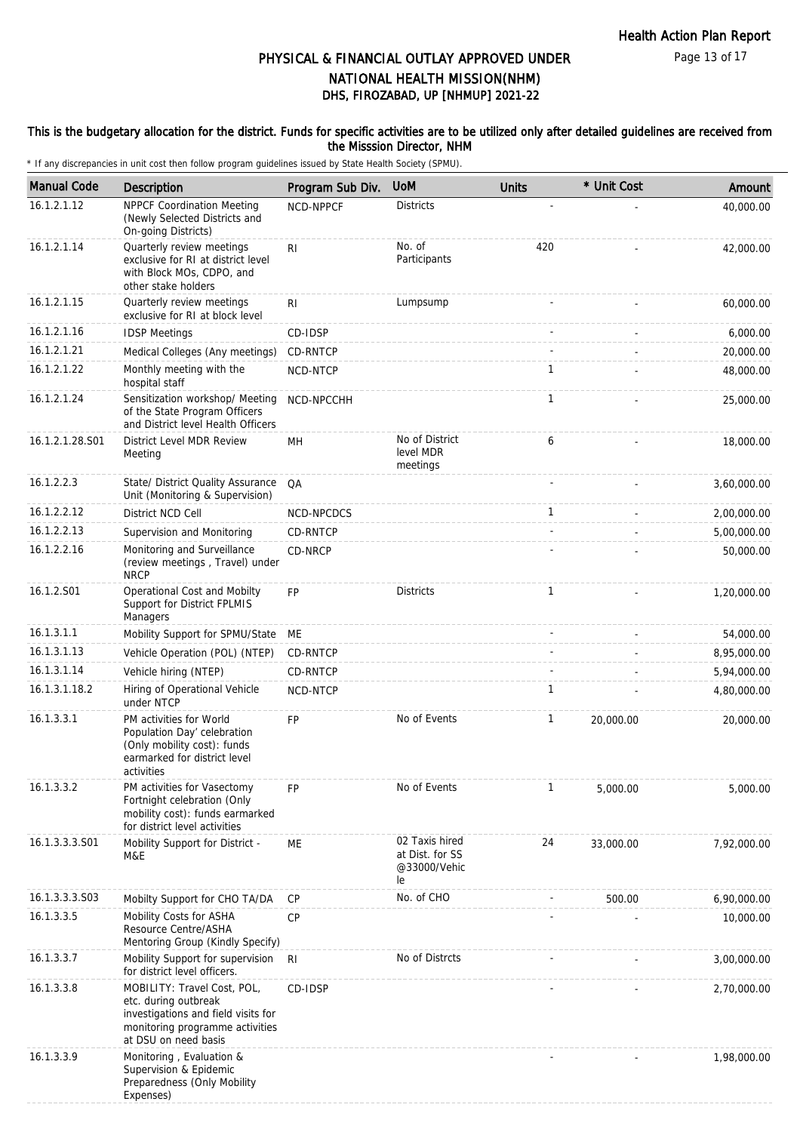Page 13 of 17

# PHYSICAL & FINANCIAL OUTLAY APPROVED UNDER NATIONAL HEALTH MISSION(NHM)

# DHS, FIROZABAD, UP [NHMUP] 2021-22

#### This is the budgetary allocation for the district. Funds for specific activities are to be utilized only after detailed guidelines are received from the Misssion Director, NHM

| <b>Manual Code</b> | Description                                                                                                                                           | Program Sub Div. | <b>UoM</b>                                              | <b>Units</b> | * Unit Cost | Amount      |
|--------------------|-------------------------------------------------------------------------------------------------------------------------------------------------------|------------------|---------------------------------------------------------|--------------|-------------|-------------|
| 16.1.2.1.12        | <b>NPPCF Coordination Meeting</b><br>(Newly Selected Districts and<br>On-going Districts)                                                             | NCD-NPPCF        | <b>Districts</b>                                        |              |             | 40,000.00   |
| 16.1.2.1.14        | Quarterly review meetings<br>exclusive for RI at district level<br>with Block MOs, CDPO, and<br>other stake holders                                   | RI.              | No. of<br>Participants                                  | 420          |             | 42,000.00   |
| 16.1.2.1.15        | Quarterly review meetings<br>exclusive for RI at block level                                                                                          | R <sub>1</sub>   | Lumpsump                                                |              |             | 60,000.00   |
| 16.1.2.1.16        | <b>IDSP Meetings</b>                                                                                                                                  | CD-IDSP          |                                                         |              |             | 6,000.00    |
| 16.1.2.1.21        | Medical Colleges (Any meetings)                                                                                                                       | CD-RNTCP         |                                                         |              |             | 20,000.00   |
| 16.1.2.1.22        | Monthly meeting with the<br>hospital staff                                                                                                            | NCD-NTCP         |                                                         | 1            |             | 48,000.00   |
| 16.1.2.1.24        | Sensitization workshop/ Meeting<br>of the State Program Officers<br>and District level Health Officers                                                | NCD-NPCCHH       |                                                         | 1            |             | 25,000.00   |
| 16.1.2.1.28.S01    | District Level MDR Review<br>Meeting                                                                                                                  | MН               | No of District<br>level MDR<br>meetings                 | 6            |             | 18,000.00   |
| 16.1.2.2.3         | State/ District Quality Assurance<br>Unit (Monitoring & Supervision)                                                                                  | QA               |                                                         |              |             | 3,60,000.00 |
| 16.1.2.2.12        | District NCD Cell                                                                                                                                     | NCD-NPCDCS       |                                                         | 1            |             | 2,00,000.00 |
| 16.1.2.2.13        | Supervision and Monitoring                                                                                                                            | CD-RNTCP         |                                                         |              |             | 5,00,000.00 |
| 16.1.2.2.16        | Monitoring and Surveillance<br>(review meetings, Travel) under<br><b>NRCP</b>                                                                         | CD-NRCP          |                                                         |              |             | 50,000.00   |
| 16.1.2.S01         | Operational Cost and Mobilty<br>Support for District FPLMIS<br>Managers                                                                               | <b>FP</b>        | <b>Districts</b>                                        | 1            |             | 1,20,000.00 |
| 16.1.3.1.1         | Mobility Support for SPMU/State                                                                                                                       | МE               |                                                         |              |             | 54,000.00   |
| 16.1.3.1.13        | Vehicle Operation (POL) (NTEP)                                                                                                                        | CD-RNTCP         |                                                         |              |             | 8,95,000.00 |
| 16.1.3.1.14        | Vehicle hiring (NTEP)                                                                                                                                 | CD-RNTCP         |                                                         |              |             | 5,94,000.00 |
| 16.1.3.1.18.2      | Hiring of Operational Vehicle<br>under NTCP                                                                                                           | NCD-NTCP         |                                                         | 1            |             | 4,80,000.00 |
| 16.1.3.3.1         | PM activities for World<br>Population Day' celebration<br>(Only mobility cost): funds<br>earmarked for district level<br>activities                   | <b>FP</b>        | No of Events                                            | 1            | 20,000.00   | 20,000.00   |
| 16.1.3.3.2         | PM activities for Vasectomy<br>Fortnight celebration (Only<br>mobility cost): funds earmarked<br>for district level activities                        | <b>FP</b>        | No of Events                                            | 1            | 5,000.00    | 5,000.00    |
| 16.1.3.3.3.S01     | Mobility Support for District -<br>M&E                                                                                                                | ME               | 02 Taxis hired<br>at Dist. for SS<br>@33000/Vehic<br>le | 24           | 33,000.00   | 7,92,000.00 |
| 16.1.3.3.3.S03     | Mobilty Support for CHO TA/DA                                                                                                                         | CP               | No. of CHO                                              |              | 500.00      | 6,90,000.00 |
| 16.1.3.3.5         | Mobility Costs for ASHA<br>Resource Centre/ASHA<br>Mentoring Group (Kindly Specify)                                                                   | CP               |                                                         |              |             | 10,000.00   |
| 16.1.3.3.7         | Mobility Support for supervision<br>for district level officers.                                                                                      | RI               | No of Distrcts                                          |              |             | 3,00,000.00 |
| 16.1.3.3.8         | MOBILITY: Travel Cost, POL,<br>etc. during outbreak<br>investigations and field visits for<br>monitoring programme activities<br>at DSU on need basis | CD-IDSP          |                                                         |              |             | 2,70,000.00 |
| 16.1.3.3.9         | Monitoring, Evaluation &<br>Supervision & Epidemic<br>Preparedness (Only Mobility<br>Expenses)                                                        |                  |                                                         |              |             | 1,98,000.00 |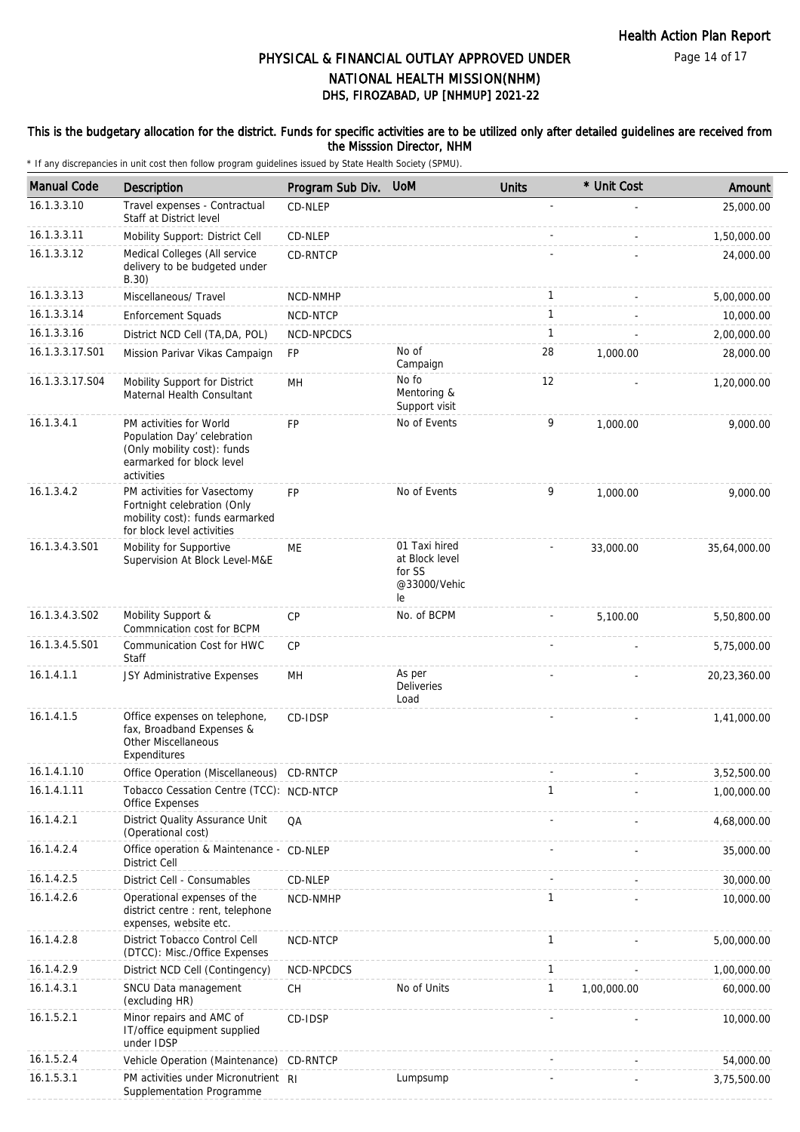Page 14 of 17

# DHS, FIROZABAD, UP [NHMUP] 2021-22 PHYSICAL & FINANCIAL OUTLAY APPROVED UNDER NATIONAL HEALTH MISSION(NHM)

#### This is the budgetary allocation for the district. Funds for specific activities are to be utilized only after detailed guidelines are received from the Misssion Director, NHM

| <b>Manual Code</b> | Description                                                                                                                      | Program Sub Div. | <b>UoM</b>                                                      | <b>Units</b> | * Unit Cost | Amount       |
|--------------------|----------------------------------------------------------------------------------------------------------------------------------|------------------|-----------------------------------------------------------------|--------------|-------------|--------------|
| 16.1.3.3.10        | Travel expenses - Contractual<br>Staff at District level                                                                         | CD-NLEP          |                                                                 |              |             | 25,000.00    |
| 16.1.3.3.11        | Mobility Support: District Cell                                                                                                  | CD-NLEP          |                                                                 |              |             | 1,50,000.00  |
| 16.1.3.3.12        | Medical Colleges (All service<br>delivery to be budgeted under<br>B.30)                                                          | CD-RNTCP         |                                                                 |              |             | 24,000.00    |
| 16.1.3.3.13        | Miscellaneous/ Travel                                                                                                            | NCD-NMHP         |                                                                 | $\mathbf{1}$ |             | 5,00,000.00  |
| 16.1.3.3.14        | <b>Enforcement Squads</b>                                                                                                        | NCD-NTCP         |                                                                 | $\mathbf{1}$ |             | 10,000.00    |
| 16.1.3.3.16        | District NCD Cell (TA, DA, POL)                                                                                                  | NCD-NPCDCS       |                                                                 | $\mathbf{1}$ |             | 2,00,000.00  |
| 16.1.3.3.17.S01    | Mission Parivar Vikas Campaign                                                                                                   | FP               | No of<br>Campaign                                               | 28           | 1,000.00    | 28,000.00    |
| 16.1.3.3.17.S04    | Mobility Support for District<br>Maternal Health Consultant                                                                      | MН               | No fo<br>Mentoring &<br>Support visit                           | 12           |             | 1,20,000.00  |
| 16.1.3.4.1         | PM activities for World<br>Population Day' celebration<br>(Only mobility cost): funds<br>earmarked for block level<br>activities | <b>FP</b>        | No of Events                                                    | 9            | 1,000.00    | 9,000.00     |
| 16.1.3.4.2         | PM activities for Vasectomy<br>Fortnight celebration (Only<br>mobility cost): funds earmarked<br>for block level activities      | FP               | No of Events                                                    | 9            | 1,000.00    | 9,000.00     |
| 16.1.3.4.3.S01     | Mobility for Supportive<br>Supervision At Block Level-M&E                                                                        | МE               | 01 Taxi hired<br>at Block level<br>for SS<br>@33000/Vehic<br>le |              | 33,000.00   | 35,64,000.00 |
| 16.1.3.4.3.S02     | Mobility Support &<br>Commnication cost for BCPM                                                                                 | <b>CP</b>        | No. of BCPM                                                     |              | 5,100.00    | 5,50,800.00  |
| 16.1.3.4.5.S01     | Communication Cost for HWC<br>Staff                                                                                              | CP               |                                                                 |              |             | 5,75,000.00  |
| 16.1.4.1.1         | JSY Administrative Expenses                                                                                                      | MН               | As per<br><b>Deliveries</b><br>Load                             |              |             | 20,23,360.00 |
| 16.1.4.1.5         | Office expenses on telephone,<br>fax, Broadband Expenses &<br>Other Miscellaneous<br>Expenditures                                | CD-IDSP          |                                                                 |              |             | 1,41,000.00  |
| 16.1.4.1.10        | Office Operation (Miscellaneous) CD-RNTCP                                                                                        |                  |                                                                 |              |             | 3,52,500.00  |
| 16.1.4.1.11        | Tobacco Cessation Centre (TCC): NCD-NTCP<br>Office Expenses                                                                      |                  |                                                                 | $\mathbf{1}$ |             | 1,00,000.00  |
| 16.1.4.2.1         | District Quality Assurance Unit<br>(Operational cost)                                                                            | QA               |                                                                 |              |             | 4,68,000.00  |
| 16.1.4.2.4         | Office operation & Maintenance - CD-NLEP<br><b>District Cell</b>                                                                 |                  |                                                                 |              |             | 35,000.00    |
| 16.1.4.2.5         | District Cell - Consumables                                                                                                      | CD-NLEP          |                                                                 |              |             | 30,000.00    |
| 16.1.4.2.6         | Operational expenses of the<br>district centre : rent, telephone<br>expenses, website etc.                                       | NCD-NMHP         |                                                                 | $\mathbf{1}$ |             | 10,000.00    |
| 16.1.4.2.8         | District Tobacco Control Cell<br>(DTCC): Misc./Office Expenses                                                                   | NCD-NTCP         |                                                                 | $\mathbf{1}$ |             | 5,00,000.00  |
| 16.1.4.2.9         | District NCD Cell (Contingency)                                                                                                  | NCD-NPCDCS       |                                                                 | $\mathbf{1}$ |             | 1,00,000.00  |
| 16.1.4.3.1         | SNCU Data management<br>(excluding HR)                                                                                           | <b>CH</b>        | No of Units                                                     | $\mathbf{1}$ | 1,00,000.00 | 60,000.00    |
| 16.1.5.2.1         | Minor repairs and AMC of<br>IT/office equipment supplied<br>under IDSP                                                           | CD-IDSP          |                                                                 |              |             | 10,000.00    |
| 16.1.5.2.4         | Vehicle Operation (Maintenance) CD-RNTCP                                                                                         |                  |                                                                 |              |             | 54,000.00    |
| 16.1.5.3.1         | PM activities under Micronutrient RI<br>Supplementation Programme                                                                |                  | Lumpsump                                                        |              |             | 3,75,500.00  |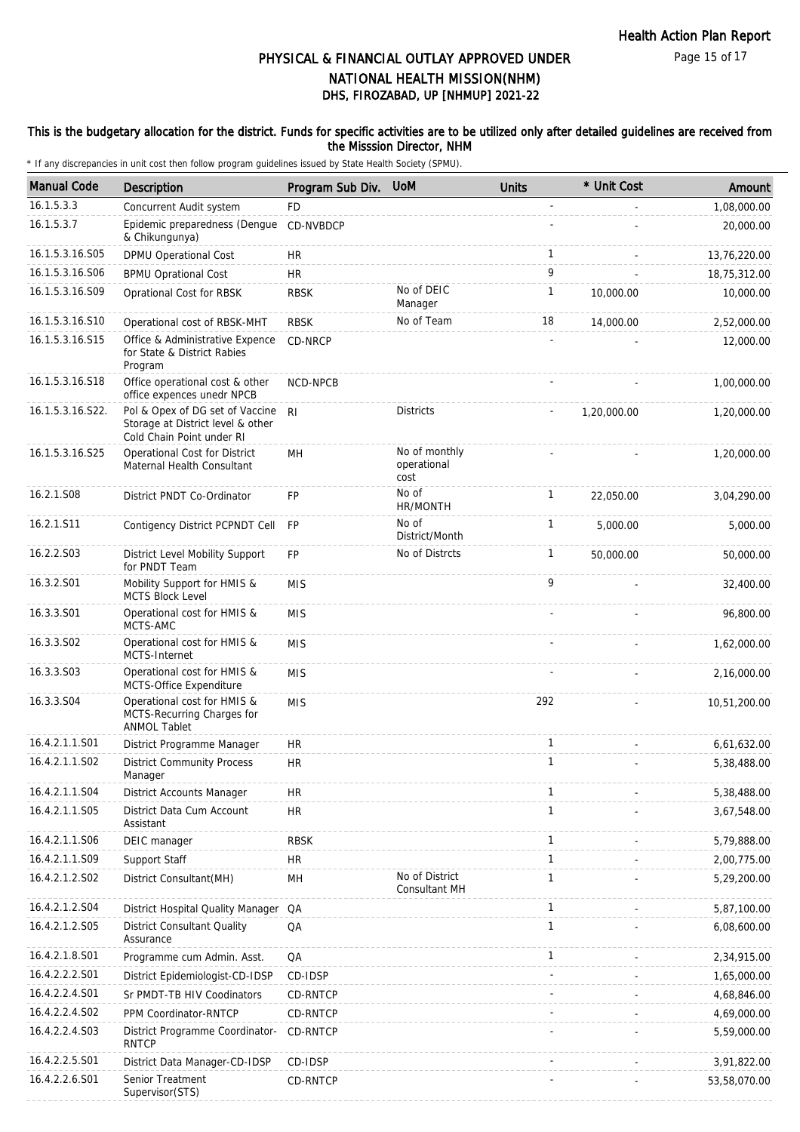Page 15 of 17

# DHS, FIROZABAD, UP [NHMUP] 2021-22 PHYSICAL & FINANCIAL OUTLAY APPROVED UNDER NATIONAL HEALTH MISSION(NHM)

#### This is the budgetary allocation for the district. Funds for specific activities are to be utilized only after detailed guidelines are received from the Misssion Director, NHM

| <b>Manual Code</b> | <b>Description</b>                                                                                | Program Sub Div. UoM |                                      | <b>Units</b> | * Unit Cost | Amount       |
|--------------------|---------------------------------------------------------------------------------------------------|----------------------|--------------------------------------|--------------|-------------|--------------|
| 16.1.5.3.3         | Concurrent Audit system                                                                           | <b>FD</b>            |                                      |              |             | 1,08,000.00  |
| 16.1.5.3.7         | Epidemic preparedness (Dengue<br>& Chikungunya)                                                   | CD-NVBDCP            |                                      |              |             | 20,000.00    |
| 16.1.5.3.16.S05    | DPMU Operational Cost                                                                             | <b>HR</b>            |                                      | $\mathbf{1}$ |             | 13,76,220.00 |
| 16.1.5.3.16.S06    | <b>BPMU Oprational Cost</b>                                                                       | <b>HR</b>            |                                      | 9            |             | 18,75,312.00 |
| 16.1.5.3.16.S09    | Oprational Cost for RBSK                                                                          | <b>RBSK</b>          | No of DEIC<br>Manager                | 1            | 10,000.00   | 10,000.00    |
| 16.1.5.3.16.S10    | Operational cost of RBSK-MHT                                                                      | <b>RBSK</b>          | No of Team                           | 18           | 14,000.00   | 2,52,000.00  |
| 16.1.5.3.16.S15    | Office & Administrative Expence<br>for State & District Rabies<br>Program                         | CD-NRCP              |                                      |              |             | 12,000.00    |
| 16.1.5.3.16.S18    | Office operational cost & other<br>office expences unedr NPCB                                     | NCD-NPCB             |                                      |              |             | 1,00,000.00  |
| 16.1.5.3.16.S22.   | Pol & Opex of DG set of Vaccine<br>Storage at District level & other<br>Cold Chain Point under RI | R <sub>l</sub>       | <b>Districts</b>                     |              | 1,20,000.00 | 1,20,000.00  |
| 16.1.5.3.16.S25    | Operational Cost for District<br>Maternal Health Consultant                                       | MH                   | No of monthly<br>operational<br>cost |              |             | 1,20,000.00  |
| 16.2.1.S08         | District PNDT Co-Ordinator                                                                        | FP                   | No of<br>HR/MONTH                    | $\mathbf{1}$ | 22,050.00   | 3,04,290.00  |
| 16.2.1.S11         | Contigency District PCPNDT Cell                                                                   | <b>FP</b>            | No of<br>District/Month              | $\mathbf{1}$ | 5,000.00    | 5,000.00     |
| 16.2.2.S03         | District Level Mobility Support<br>for PNDT Team                                                  | FP                   | No of Distrcts                       | 1            | 50,000.00   | 50,000.00    |
| 16.3.2.S01         | Mobility Support for HMIS &<br><b>MCTS Block Level</b>                                            | <b>MIS</b>           |                                      | 9            |             | 32,400.00    |
| 16.3.3.S01         | Operational cost for HMIS &<br>MCTS-AMC                                                           | <b>MIS</b>           |                                      |              |             | 96,800.00    |
| 16.3.3.S02         | Operational cost for HMIS &<br>MCTS-Internet                                                      | <b>MIS</b>           |                                      |              |             | 1,62,000.00  |
| 16.3.3.S03         | Operational cost for HMIS &<br>MCTS-Office Expenditure                                            | <b>MIS</b>           |                                      |              |             | 2,16,000.00  |
| 16.3.3.S04         | Operational cost for HMIS &<br>MCTS-Recurring Charges for<br><b>ANMOL Tablet</b>                  | <b>MIS</b>           |                                      | 292          |             | 10,51,200.00 |
| 16.4.2.1.1.S01     | District Programme Manager                                                                        | <b>HR</b>            |                                      | 1            |             | 6,61,632.00  |
| 16.4.2.1.1.S02     | <b>District Community Process</b><br>Manager                                                      | <b>HR</b>            |                                      | $\mathbf{1}$ |             | 5,38,488.00  |
| 16.4.2.1.1.S04     | District Accounts Manager                                                                         | <b>HR</b>            |                                      | 1            |             | 5,38,488.00  |
| 16.4.2.1.1.S05     | District Data Cum Account<br>Assistant                                                            | <b>HR</b>            |                                      | $\mathbf{1}$ |             | 3,67,548.00  |
| 16.4.2.1.1.S06     | DEIC manager                                                                                      | <b>RBSK</b>          |                                      | $\mathbf{1}$ |             | 5,79,888.00  |
| 16.4.2.1.1.S09     | Support Staff                                                                                     | <b>HR</b>            |                                      | $\mathbf{1}$ |             | 2,00,775.00  |
| 16.4.2.1.2.S02     | District Consultant(MH)                                                                           | MН                   | No of District<br>Consultant MH      | 1            |             | 5,29,200.00  |
| 16.4.2.1.2.S04     | District Hospital Quality Manager                                                                 | QA                   |                                      | $\mathbf{1}$ |             | 5,87,100.00  |
| 16.4.2.1.2.S05     | <b>District Consultant Quality</b><br>Assurance                                                   | QA                   |                                      | 1            |             | 6,08,600.00  |
| 16.4.2.1.8.S01     | Programme cum Admin. Asst.                                                                        | QA                   |                                      | $\mathbf{1}$ |             | 2,34,915.00  |
| 16.4.2.2.2.S01     | District Epidemiologist-CD-IDSP                                                                   | CD-IDSP              |                                      |              |             | 1,65,000.00  |
| 16.4.2.2.4.S01     | Sr PMDT-TB HIV Coodinators                                                                        | CD-RNTCP             |                                      |              |             | 4,68,846.00  |
| 16.4.2.2.4.S02     | PPM Coordinator-RNTCP                                                                             | CD-RNTCP             |                                      |              |             | 4,69,000.00  |
| 16.4.2.2.4.S03     | District Programme Coordinator-<br><b>RNTCP</b>                                                   | CD-RNTCP             |                                      |              |             | 5,59,000.00  |
| 16.4.2.2.5.S01     | District Data Manager-CD-IDSP                                                                     | CD-IDSP              |                                      |              |             | 3,91,822.00  |
| 16.4.2.2.6.S01     | Senior Treatment<br>Supervisor(STS)                                                               | CD-RNTCP             |                                      |              |             | 53,58,070.00 |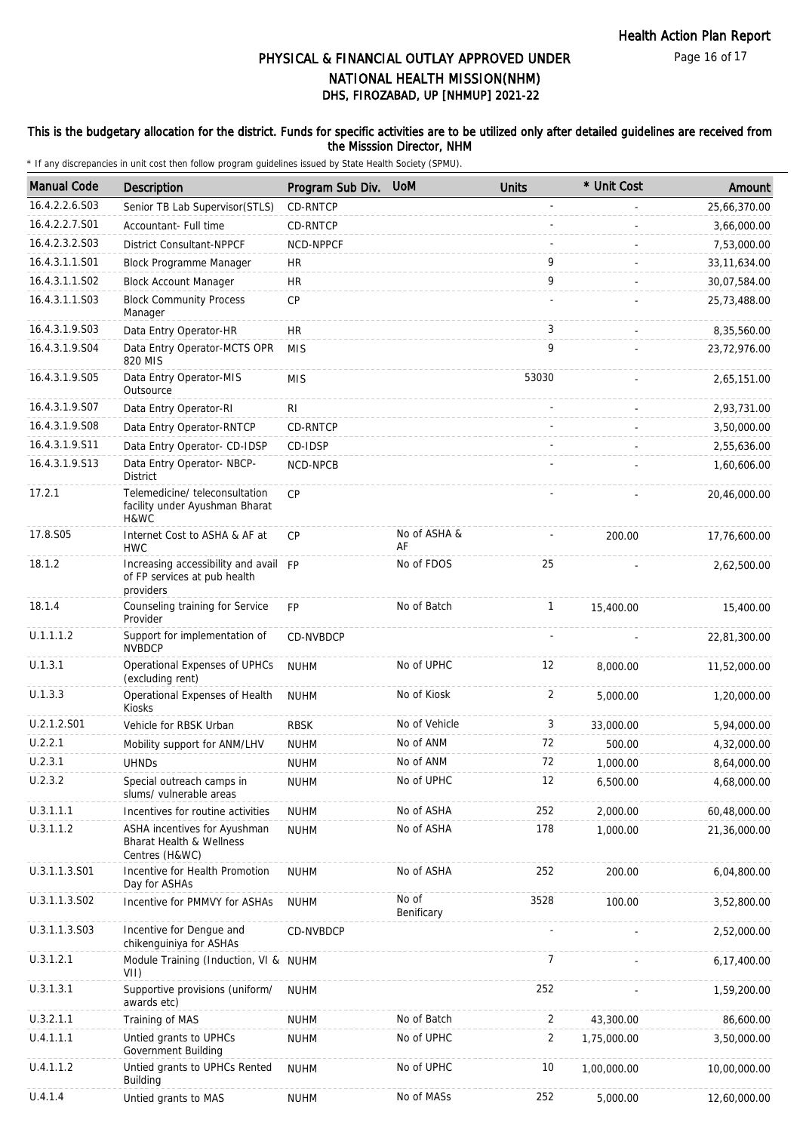Page 16 of 17

# DHS, FIROZABAD, UP [NHMUP] 2021-22 PHYSICAL & FINANCIAL OUTLAY APPROVED UNDER NATIONAL HEALTH MISSION(NHM)

#### This is the budgetary allocation for the district. Funds for specific activities are to be utilized only after detailed guidelines are received from the Misssion Director, NHM

| <b>Manual Code</b> | <b>Description</b>                                                                 | Program Sub Div. | <b>UoM</b>          | <b>Units</b> | * Unit Cost | Amount         |
|--------------------|------------------------------------------------------------------------------------|------------------|---------------------|--------------|-------------|----------------|
| 16.4.2.2.6.S03     | Senior TB Lab Supervisor (STLS)                                                    | CD-RNTCP         |                     |              |             | 25,66,370.00   |
| 16.4.2.2.7.S01     | Accountant- Full time                                                              | CD-RNTCP         |                     |              |             | 3,66,000.00    |
| 16.4.2.3.2.S03     | District Consultant-NPPCF                                                          | NCD-NPPCF        |                     |              |             | 7,53,000.00    |
| 16.4.3.1.1.S01     | Block Programme Manager                                                            | <b>HR</b>        |                     | 9            |             | 33, 11, 634.00 |
| 16.4.3.1.1.S02     | <b>Block Account Manager</b>                                                       | <b>HR</b>        |                     | 9            |             | 30,07,584.00   |
| 16.4.3.1.1.S03     | <b>Block Community Process</b><br>Manager                                          | <b>CP</b>        |                     |              |             | 25,73,488.00   |
| 16.4.3.1.9.S03     | Data Entry Operator-HR                                                             | HR               |                     | 3            |             | 8,35,560.00    |
| 16.4.3.1.9.S04     | Data Entry Operator-MCTS OPR<br>820 MIS                                            | <b>MIS</b>       |                     | 9            |             | 23,72,976.00   |
| 16.4.3.1.9.S05     | Data Entry Operator-MIS<br>Outsource                                               | <b>MIS</b>       |                     | 53030        |             | 2,65,151.00    |
| 16.4.3.1.9.S07     | Data Entry Operator-RI                                                             | R <sub>l</sub>   |                     |              |             | 2,93,731.00    |
| 16.4.3.1.9.S08     | Data Entry Operator-RNTCP                                                          | CD-RNTCP         |                     |              |             | 3,50,000.00    |
| 16.4.3.1.9.S11     | Data Entry Operator- CD-IDSP                                                       | CD-IDSP          |                     |              |             | 2,55,636.00    |
| 16.4.3.1.9.S13     | Data Entry Operator- NBCP-<br><b>District</b>                                      | NCD-NPCB         |                     |              |             | 1,60,606.00    |
| 17.2.1             | Telemedicine/ teleconsultation<br>facility under Ayushman Bharat<br>H&WC           | <b>CP</b>        |                     |              |             | 20,46,000.00   |
| 17.8.S05           | Internet Cost to ASHA & AF at<br><b>HWC</b>                                        | <b>CP</b>        | No of ASHA &<br>AF  |              | 200.00      | 17,76,600.00   |
| 18.1.2             | Increasing accessibility and avail FP<br>of FP services at pub health<br>providers |                  | No of FDOS          | 25           |             | 2,62,500.00    |
| 18.1.4             | Counseling training for Service<br>Provider                                        | <b>FP</b>        | No of Batch         | $\mathbf{1}$ | 15,400.00   | 15,400.00      |
| U.1.1.1.2          | Support for implementation of<br><b>NVBDCP</b>                                     | CD-NVBDCP        |                     |              |             | 22,81,300.00   |
| U.1.3.1            | Operational Expenses of UPHCs<br>(excluding rent)                                  | <b>NUHM</b>      | No of UPHC          | 12           | 8,000.00    | 11,52,000.00   |
| U.1.3.3            | Operational Expenses of Health<br>Kiosks                                           | <b>NUHM</b>      | No of Kiosk         | 2            | 5,000.00    | 1,20,000.00    |
| U.2.1.2.S01        | Vehicle for RBSK Urban                                                             | <b>RBSK</b>      | No of Vehicle       | 3            | 33,000.00   | 5,94,000.00    |
| U.2.2.1            | Mobility support for ANM/LHV                                                       | <b>NUHM</b>      | No of ANM           | 72           | 500.00      | 4,32,000.00    |
| U.2.3.1            | <b>UHNDs</b>                                                                       | <b>NUHM</b>      | No of ANM           | 72           | 1,000.00    | 8,64,000.00    |
| U.2.3.2            | Special outreach camps in<br>slums/ vulnerable areas                               | <b>NUHM</b>      | No of UPHC          | 12           | 6,500.00    | 4,68,000.00    |
| U.3.1.1.1          | Incentives for routine activities                                                  | <b>NUHM</b>      | No of ASHA          | 252          | 2,000.00    | 60,48,000.00   |
| U.3.1.1.2          | ASHA incentives for Ayushman<br>Bharat Health & Wellness<br>Centres (H&WC)         | <b>NUHM</b>      | No of ASHA          | 178          | 1,000.00    | 21,36,000.00   |
| U.3.1.1.3.S01      | Incentive for Health Promotion<br>Day for ASHAs                                    | <b>NUHM</b>      | No of ASHA          | 252          | 200.00      | 6,04,800.00    |
| U.3.1.1.3.S02      | Incentive for PMMVY for ASHAs                                                      | <b>NUHM</b>      | No of<br>Benificary | 3528         | 100.00      | 3,52,800.00    |
| U.3.1.1.3.S03      | Incentive for Dengue and<br>chikenguiniya for ASHAs                                | <b>CD-NVBDCP</b> |                     |              |             | 2,52,000.00    |
| U.3.1.2.1          | Module Training (Induction, VI & NUHM<br>VII)                                      |                  |                     | 7            |             | 6,17,400.00    |
| U.3.1.3.1          | Supportive provisions (uniform/<br>awards etc)                                     | <b>NUHM</b>      |                     | 252          |             | 1,59,200.00    |
| U.3.2.1.1          | Training of MAS                                                                    | <b>NUHM</b>      | No of Batch         | 2            | 43,300.00   | 86,600.00      |
| U.4.1.1.1          | Untied grants to UPHCs<br>Government Building                                      | <b>NUHM</b>      | No of UPHC          | 2            | 1,75,000.00 | 3,50,000.00    |
| U.4.1.1.2          | Untied grants to UPHCs Rented<br><b>Building</b>                                   | <b>NUHM</b>      | No of UPHC          | 10           | 1,00,000.00 | 10,00,000.00   |
| U.4.1.4            | Untied grants to MAS                                                               | <b>NUHM</b>      | No of MASs          | 252          | 5,000.00    | 12,60,000.00   |